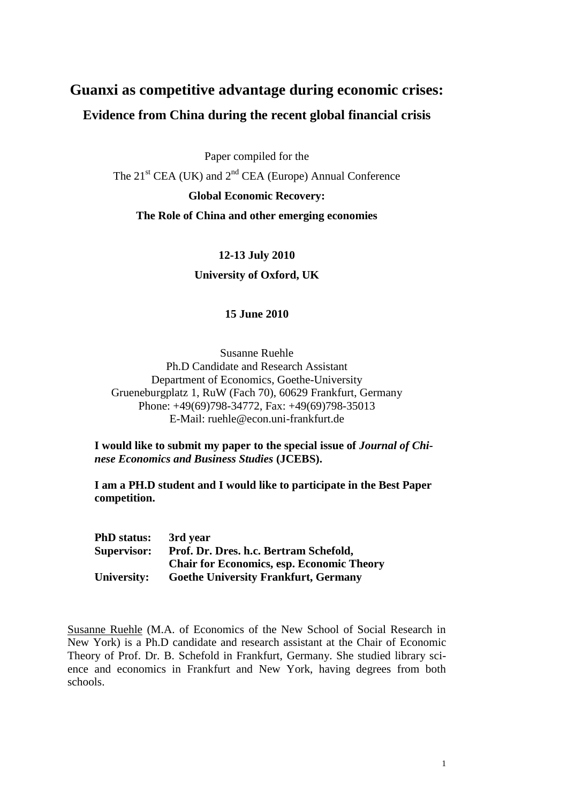# **Guanxi as competitive advantage during economic crises: Evidence from China during the recent global financial crisis**

Paper compiled for the

The  $21<sup>st</sup> CEA$  (UK) and  $2<sup>nd</sup> CEA$  (Europe) Annual Conference

**Global Economic Recovery:** 

**The Role of China and other emerging economies**

**12-13 July 2010 University of Oxford, UK**

## **15 June 2010**

Susanne Ruehle Ph.D Candidate and Research Assistant Department of Economics, Goethe-University Grueneburgplatz 1, RuW (Fach 70), 60629 Frankfurt, Germany Phone: +49(69)798-34772, Fax: +49(69)798-35013 E-Mail: ruehle@econ.uni-frankfurt.de

**I would like to submit my paper to the special issue of** *Journal of Chinese Economics and Business Studies* **(JCEBS).**

**I am a PH.D student and I would like to participate in the Best Paper competition.**

| <b>PhD</b> status: | 3rd year                                         |
|--------------------|--------------------------------------------------|
| <b>Supervisor:</b> | Prof. Dr. Dres. h.c. Bertram Schefold,           |
|                    | <b>Chair for Economics, esp. Economic Theory</b> |
| University:        | <b>Goethe University Frankfurt, Germany</b>      |

Susanne Ruehle (M.A. of Economics of the New School of Social Research in New York) is a Ph.D candidate and research assistant at the Chair of Economic Theory of Prof. Dr. B. Schefold in Frankfurt, Germany. She studied library science and economics in Frankfurt and New York, having degrees from both schools.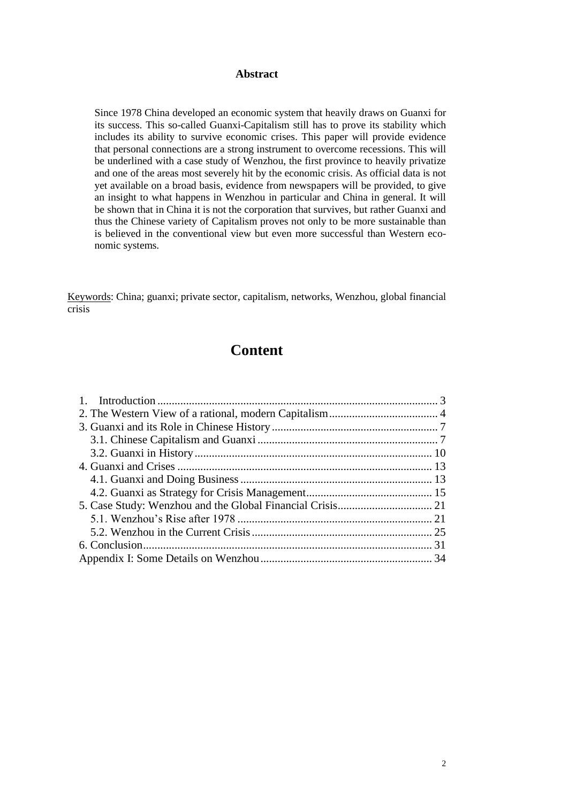#### **Abstract**

Since 1978 China developed an economic system that heavily draws on Guanxi for its success. This so-called Guanxi-Capitalism still has to prove its stability which includes its ability to survive economic crises. This paper will provide evidence that personal connections are a strong instrument to overcome recessions. This will be underlined with a case study of Wenzhou, the first province to heavily privatize and one of the areas most severely hit by the economic crisis. As official data is not yet available on a broad basis, evidence from newspapers will be provided, to give an insight to what happens in Wenzhou in particular and China in general. It will be shown that in China it is not the corporation that survives, but rather Guanxi and thus the Chinese variety of Capitalism proves not only to be more sustainable than is believed in the conventional view but even more successful than Western economic systems.

Keywords: China; guanxi; private sector, capitalism, networks, Wenzhou, global financial crisis

# **Content**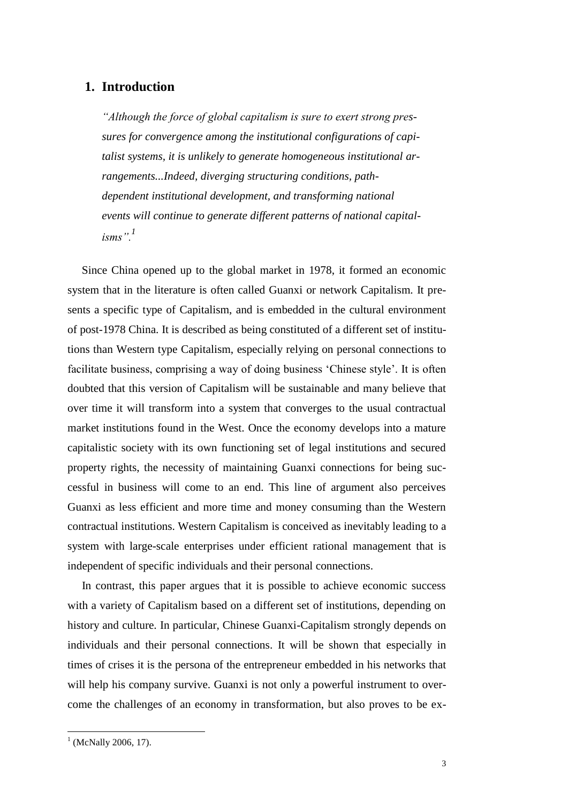## <span id="page-2-0"></span>**1. Introduction**

*"Although the force of global capitalism is sure to exert strong pressures for convergence among the institutional configurations of capitalist systems, it is unlikely to generate homogeneous institutional arrangements...Indeed, diverging structuring conditions, pathdependent institutional development, and transforming national events will continue to generate different patterns of national capital-* $\limsup$ <sup>"</sup>.<sup>1</sup>

 Since China opened up to the global market in 1978, it formed an economic system that in the literature is often called Guanxi or network Capitalism. It presents a specific type of Capitalism, and is embedded in the cultural environment of post-1978 China. It is described as being constituted of a different set of institutions than Western type Capitalism, especially relying on personal connections to facilitate business, comprising a way of doing business "Chinese style". It is often doubted that this version of Capitalism will be sustainable and many believe that over time it will transform into a system that converges to the usual contractual market institutions found in the West. Once the economy develops into a mature capitalistic society with its own functioning set of legal institutions and secured property rights, the necessity of maintaining Guanxi connections for being successful in business will come to an end. This line of argument also perceives Guanxi as less efficient and more time and money consuming than the Western contractual institutions. Western Capitalism is conceived as inevitably leading to a system with large-scale enterprises under efficient rational management that is independent of specific individuals and their personal connections.

 In contrast, this paper argues that it is possible to achieve economic success with a variety of Capitalism based on a different set of institutions, depending on history and culture. In particular, Chinese Guanxi-Capitalism strongly depends on individuals and their personal connections. It will be shown that especially in times of crises it is the persona of the entrepreneur embedded in his networks that will help his company survive. Guanxi is not only a powerful instrument to overcome the challenges of an economy in transformation, but also proves to be ex-

 $<sup>1</sup>$  (McNally 2006, 17).</sup>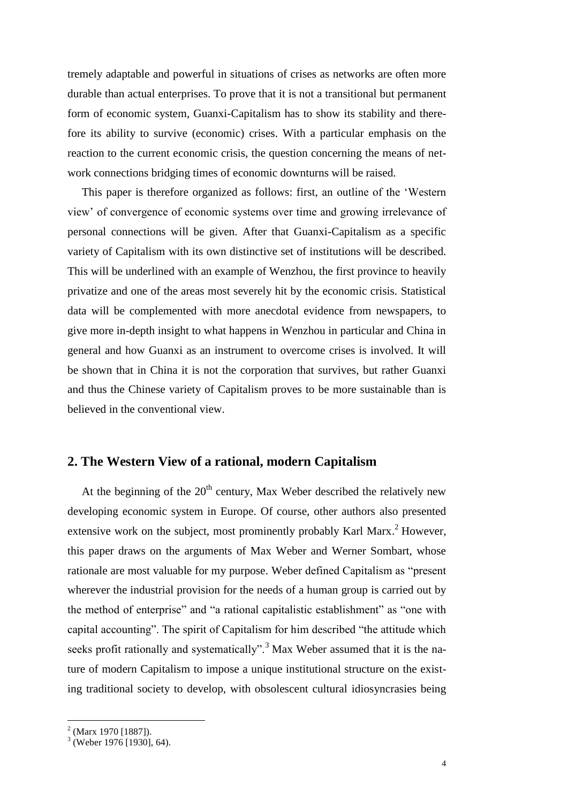tremely adaptable and powerful in situations of crises as networks are often more durable than actual enterprises. To prove that it is not a transitional but permanent form of economic system, Guanxi-Capitalism has to show its stability and therefore its ability to survive (economic) crises. With a particular emphasis on the reaction to the current economic crisis, the question concerning the means of network connections bridging times of economic downturns will be raised.

 This paper is therefore organized as follows: first, an outline of the "Western view" of convergence of economic systems over time and growing irrelevance of personal connections will be given. After that Guanxi-Capitalism as a specific variety of Capitalism with its own distinctive set of institutions will be described. This will be underlined with an example of Wenzhou, the first province to heavily privatize and one of the areas most severely hit by the economic crisis. Statistical data will be complemented with more anecdotal evidence from newspapers, to give more in-depth insight to what happens in Wenzhou in particular and China in general and how Guanxi as an instrument to overcome crises is involved. It will be shown that in China it is not the corporation that survives, but rather Guanxi and thus the Chinese variety of Capitalism proves to be more sustainable than is believed in the conventional view.

## <span id="page-3-0"></span>**2. The Western View of a rational, modern Capitalism**

At the beginning of the  $20<sup>th</sup>$  century, Max Weber described the relatively new developing economic system in Europe. Of course, other authors also presented extensive work on the subject, most prominently probably Karl Marx.<sup>2</sup> However, this paper draws on the arguments of Max Weber and Werner Sombart, whose rationale are most valuable for my purpose. Weber defined Capitalism as "present wherever the industrial provision for the needs of a human group is carried out by the method of enterprise" and "a rational capitalistic establishment" as "one with capital accounting". The spirit of Capitalism for him described "the attitude which seeks profit rationally and systematically".<sup>3</sup> Max Weber assumed that it is the nature of modern Capitalism to impose a unique institutional structure on the existing traditional society to develop, with obsolescent cultural idiosyncrasies being

<sup>&</sup>lt;sup>2</sup> (Marx 1970 [1887]).<br><sup>3</sup> (Weber 1976 [1930], 64).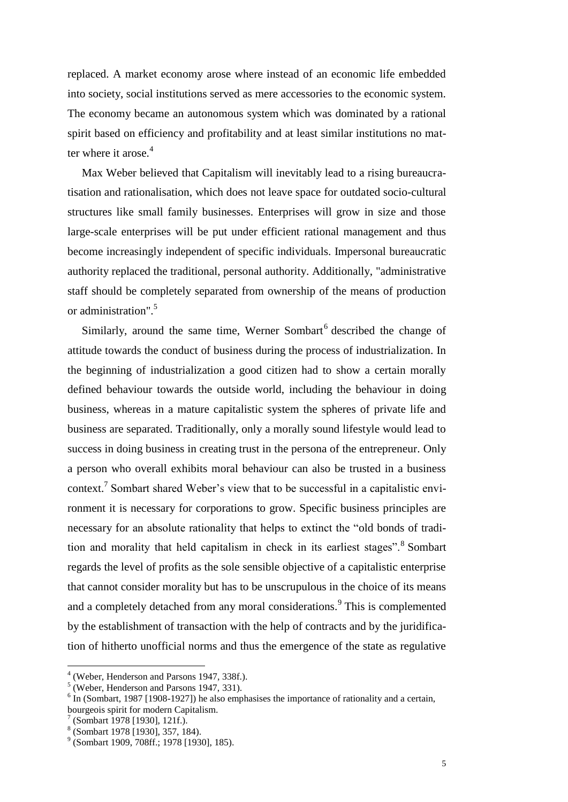replaced. A market economy arose where instead of an economic life embedded into society, social institutions served as mere accessories to the economic system. The economy became an autonomous system which was dominated by a rational spirit based on efficiency and profitability and at least similar institutions no matter where it arose. 4

 Max Weber believed that Capitalism will inevitably lead to a rising bureaucratisation and rationalisation, which does not leave space for outdated socio-cultural structures like small family businesses. Enterprises will grow in size and those large-scale enterprises will be put under efficient rational management and thus become increasingly independent of specific individuals. Impersonal bureaucratic authority replaced the traditional, personal authority. Additionally, "administrative staff should be completely separated from ownership of the means of production or administration".<sup>5</sup>

Similarly, around the same time, Werner Sombart $<sup>6</sup>$  described the change of</sup> attitude towards the conduct of business during the process of industrialization. In the beginning of industrialization a good citizen had to show a certain morally defined behaviour towards the outside world, including the behaviour in doing business, whereas in a mature capitalistic system the spheres of private life and business are separated. Traditionally, only a morally sound lifestyle would lead to success in doing business in creating trust in the persona of the entrepreneur. Only a person who overall exhibits moral behaviour can also be trusted in a business context.<sup>7</sup> Sombart shared Weber's view that to be successful in a capitalistic environment it is necessary for corporations to grow. Specific business principles are necessary for an absolute rationality that helps to extinct the "old bonds of tradition and morality that held capitalism in check in its earliest stages".<sup>8</sup> Sombart regards the level of profits as the sole sensible objective of a capitalistic enterprise that cannot consider morality but has to be unscrupulous in the choice of its means and a completely detached from any moral considerations.<sup>9</sup> This is complemented by the establishment of transaction with the help of contracts and by the juridification of hitherto unofficial norms and thus the emergence of the state as regulative

<sup>4</sup> (Weber, Henderson and Parsons 1947, 338f.).

<sup>&</sup>lt;sup>5</sup> (Weber, Henderson and Parsons 1947, 331).

 $6 \text{ In (Sombart, 1987 [1908-1927])}$  he also emphasises the importance of rationality and a certain, bourgeois spirit for modern Capitalism.

<sup>7</sup> (Sombart 1978 [1930], 121f.).

<sup>8</sup> (Sombart 1978 [1930], 357, 184).

<sup>&</sup>lt;sup>9</sup> (Sombart 1909, 708ff.; 1978 [1930], 185).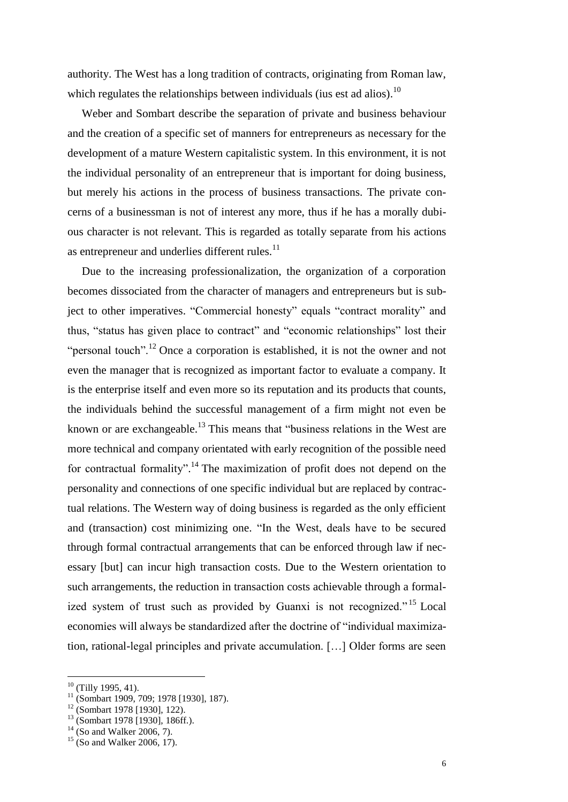authority. The West has a long tradition of contracts, originating from Roman law, which regulates the relationships between individuals (ius est ad alios).<sup>10</sup>

 Weber and Sombart describe the separation of private and business behaviour and the creation of a specific set of manners for entrepreneurs as necessary for the development of a mature Western capitalistic system. In this environment, it is not the individual personality of an entrepreneur that is important for doing business, but merely his actions in the process of business transactions. The private concerns of a businessman is not of interest any more, thus if he has a morally dubious character is not relevant. This is regarded as totally separate from his actions as entrepreneur and underlies different rules.<sup>11</sup>

 Due to the increasing professionalization, the organization of a corporation becomes dissociated from the character of managers and entrepreneurs but is subject to other imperatives. "Commercial honesty" equals "contract morality" and thus, "status has given place to contract" and "economic relationships" lost their "personal touch".<sup>12</sup> Once a corporation is established, it is not the owner and not even the manager that is recognized as important factor to evaluate a company. It is the enterprise itself and even more so its reputation and its products that counts, the individuals behind the successful management of a firm might not even be known or are exchangeable.<sup>13</sup> This means that "business relations in the West are more technical and company orientated with early recognition of the possible need for contractual formality".<sup>14</sup> The maximization of profit does not depend on the personality and connections of one specific individual but are replaced by contractual relations. The Western way of doing business is regarded as the only efficient and (transaction) cost minimizing one. "In the West, deals have to be secured through formal contractual arrangements that can be enforced through law if necessary [but] can incur high transaction costs. Due to the Western orientation to such arrangements, the reduction in transaction costs achievable through a formalized system of trust such as provided by Guanxi is not recognized." <sup>15</sup> Local economies will always be standardized after the doctrine of "individual maximization, rational-legal principles and private accumulation. […] Older forms are seen

 $10$  (Tilly 1995, 41).

 $11$  (Sombart 1909, 709; 1978 [1930], 187).

<sup>12</sup> (Sombart 1978 [1930], 122).

<sup>13</sup> (Sombart 1978 [1930], 186ff.).

 $^{14}$  (So and Walker 2006, 7).

 $15$  (So and Walker 2006, 17).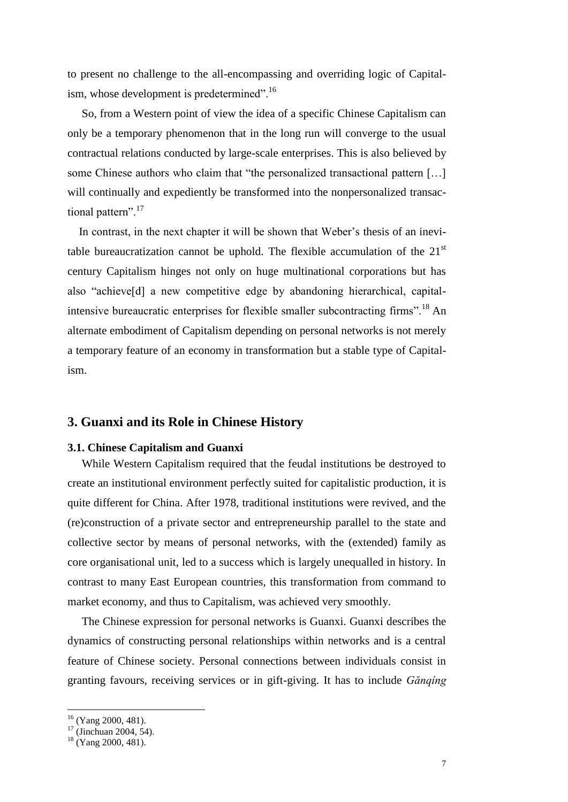to present no challenge to the all-encompassing and overriding logic of Capitalism, whose development is predetermined".<sup>16</sup>

 So, from a Western point of view the idea of a specific Chinese Capitalism can only be a temporary phenomenon that in the long run will converge to the usual contractual relations conducted by large-scale enterprises. This is also believed by some Chinese authors who claim that "the personalized transactional pattern […] will continually and expediently be transformed into the nonpersonalized transactional pattern".<sup>17</sup>

In contrast, in the next chapter it will be shown that Weber"s thesis of an inevitable bureaucratization cannot be uphold. The flexible accumulation of the 21<sup>st</sup> century Capitalism hinges not only on huge multinational corporations but has also "achieve[d] a new competitive edge by abandoning hierarchical, capitalintensive bureaucratic enterprises for flexible smaller subcontracting firms".<sup>18</sup> An alternate embodiment of Capitalism depending on personal networks is not merely a temporary feature of an economy in transformation but a stable type of Capitalism.

## <span id="page-6-0"></span>**3. Guanxi and its Role in Chinese History**

#### <span id="page-6-1"></span>**3.1. Chinese Capitalism and Guanxi**

 While Western Capitalism required that the feudal institutions be destroyed to create an institutional environment perfectly suited for capitalistic production, it is quite different for China. After 1978, traditional institutions were revived, and the (re)construction of a private sector and entrepreneurship parallel to the state and collective sector by means of personal networks, with the (extended) family as core organisational unit, led to a success which is largely unequalled in history. In contrast to many East European countries, this transformation from command to market economy, and thus to Capitalism, was achieved very smoothly.

 The Chinese expression for personal networks is Guanxi. Guanxi describes the dynamics of constructing personal relationships within networks and is a central feature of Chinese society. Personal connections between individuals consist in granting favours, receiving services or in gift-giving. It has to include *Gănqíng*

<sup>&</sup>lt;sup>16</sup> (Yang 2000, 481).

 $17$  (Jinchuan 2004, 54).

<sup>&</sup>lt;sup>18</sup> (Yang 2000, 481).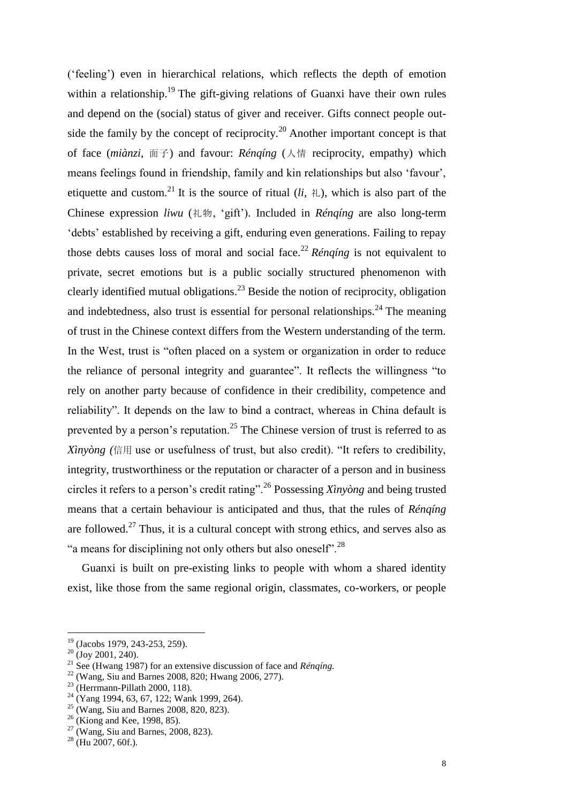("feeling") even in hierarchical relations, which reflects the depth of emotion within a relationship.<sup>19</sup> The gift-giving relations of Guanxi have their own rules and depend on the (social) status of giver and receiver. Gifts connect people outside the family by the concept of reciprocity.<sup>20</sup> Another important concept is that of face (*miànzi*, 面子) and favour: *Rénqíng* (人情 reciprocity, empathy) which means feelings found in friendship, family and kin relationships but also "favour", etiquette and custom.<sup>21</sup> It is the source of ritual  $(li, \n\text{#})$ , which is also part of the Chinese expression *liwu* (礼物, "gift"). Included in *Rénqíng* are also long-term "debts" established by receiving a gift, enduring even generations. Failing to repay those debts causes loss of moral and social face.<sup>22</sup> *Réngíng* is not equivalent to private, secret emotions but is a public socially structured phenomenon with clearly identified mutual obligations. <sup>23</sup> Beside the notion of reciprocity, obligation and indebtedness, also trust is essential for personal relationships.<sup>24</sup> The meaning of trust in the Chinese context differs from the Western understanding of the term. In the West, trust is "often placed on a system or organization in order to reduce the reliance of personal integrity and guarantee". It reflects the willingness "to rely on another party because of confidence in their credibility, competence and reliability". It depends on the law to bind a contract, whereas in China default is prevented by a person's reputation.<sup>25</sup> The Chinese version of trust is referred to as *Xìnyòng (*信用 use or usefulness of trust, but also credit). "It refers to credibility, integrity, trustworthiness or the reputation or character of a person and in business circles it refers to a person"s credit rating".<sup>26</sup> Possessing *Xìnyòng* and being trusted means that a certain behaviour is anticipated and thus, that the rules of *Rénqíng* are followed. $27$  Thus, it is a cultural concept with strong ethics, and serves also as "a means for disciplining not only others but also oneself".  $^{28}$ 

 Guanxi is built on pre-existing links to people with whom a shared identity exist, like those from the same regional origin, classmates, co-workers, or people

<sup>19</sup> (Jacobs 1979, 243-253, 259).

 $20$  (Joy 2001, 240).

<sup>21</sup> See (Hwang 1987) for an extensive discussion of face and *Rénqíng.*

<sup>22</sup> (Wang, Siu and Barnes 2008, 820; Hwang 2006, 277).

 $23$  (Herrmann-Pillath 2000, 118).

 $24$  (Yang 1994, 63, 67, 122; Wank 1999, 264).

 $25$  (Wang, Siu and Barnes 2008, 820, 823).

 $26$  (Kiong and Kee, 1998, 85).

 $27$  (Wang, Siu and Barnes, 2008, 823).

 $28$  (Hu 2007, 60f.).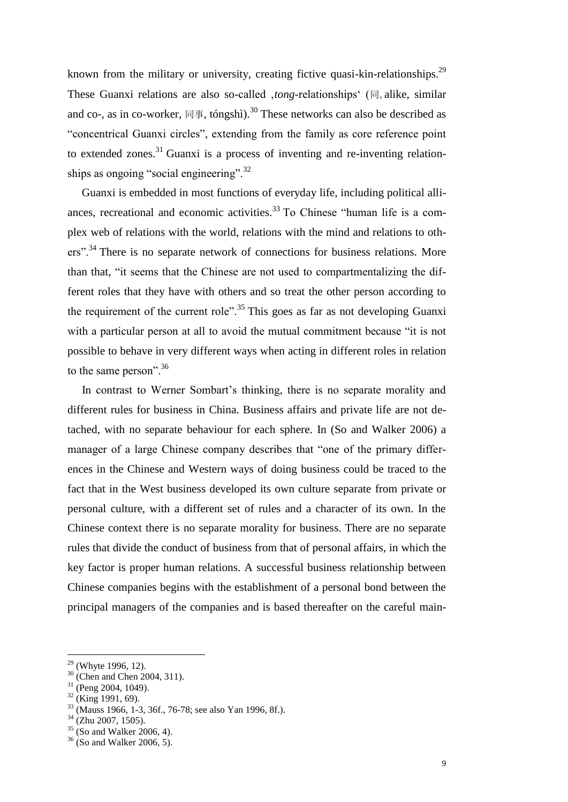known from the military or university, creating fictive quasi-kin-relationships.<sup>29</sup> These Guanxi relations are also so-called *,tong*-relationships' (同, alike, similar and co-, as in co-worker,  $\Box \ddot{\mathbf{F}}$ , tóngshì).<sup>30</sup> These networks can also be described as "concentrical Guanxi circles", extending from the family as core reference point to extended zones.<sup>31</sup> Guanxi is a process of inventing and re-inventing relationships as ongoing "social engineering".<sup>32</sup>

 Guanxi is embedded in most functions of everyday life, including political alliances, recreational and economic activities.<sup>33</sup> To Chinese "human life is a complex web of relations with the world, relations with the mind and relations to others".<sup>34</sup> There is no separate network of connections for business relations. More than that, "it seems that the Chinese are not used to compartmentalizing the different roles that they have with others and so treat the other person according to the requirement of the current role".<sup>35</sup> This goes as far as not developing Guanxi with a particular person at all to avoid the mutual commitment because "it is not possible to behave in very different ways when acting in different roles in relation to the same person".<sup>36</sup>

In contrast to Werner Sombart's thinking, there is no separate morality and different rules for business in China. Business affairs and private life are not detached, with no separate behaviour for each sphere. In (So and Walker 2006) a manager of a large Chinese company describes that "one of the primary differences in the Chinese and Western ways of doing business could be traced to the fact that in the West business developed its own culture separate from private or personal culture, with a different set of rules and a character of its own. In the Chinese context there is no separate morality for business. There are no separate rules that divide the conduct of business from that of personal affairs, in which the key factor is proper human relations. A successful business relationship between Chinese companies begins with the establishment of a personal bond between the principal managers of the companies and is based thereafter on the careful main-

 $29$  (Whyte 1996, 12).

<sup>30</sup> (Chen and Chen 2004, 311).

 $31$  (Peng 2004, 1049).

 $32$  (King 1991, 69).

<sup>33</sup> (Mauss 1966, 1-3, 36f., 76-78; see also Yan 1996, 8f.).

<sup>&</sup>lt;sup>34</sup> (Zhu 2007, 1505).

 $35$  (So and Walker 2006, 4).

 $36$  (So and Walker 2006, 5).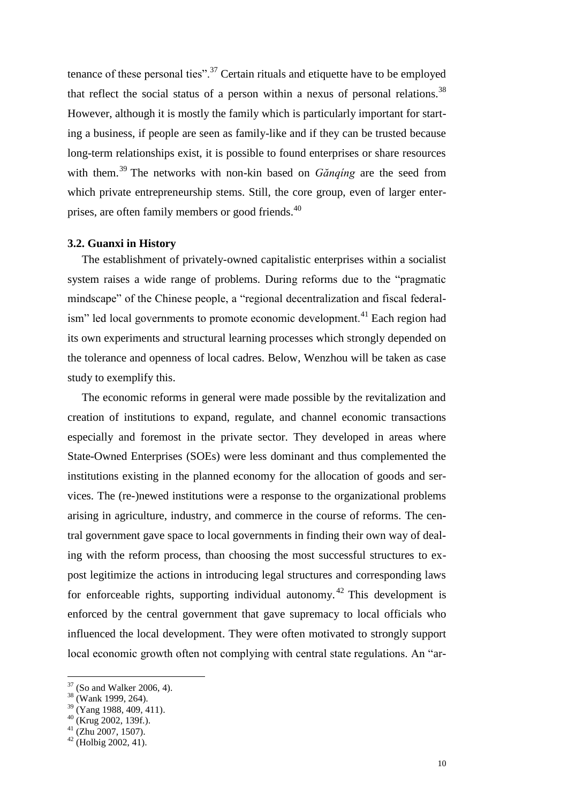tenance of these personal ties".<sup>37</sup> Certain rituals and etiquette have to be employed that reflect the social status of a person within a nexus of personal relations.<sup>38</sup> However, although it is mostly the family which is particularly important for starting a business, if people are seen as family-like and if they can be trusted because long-term relationships exist, it is possible to found enterprises or share resources with them.<sup>39</sup> The networks with non-kin based on *Gănqíng* are the seed from which private entrepreneurship stems. Still, the core group, even of larger enterprises, are often family members or good friends.<sup>40</sup>

#### <span id="page-9-0"></span>**3.2. Guanxi in History**

 The establishment of privately-owned capitalistic enterprises within a socialist system raises a wide range of problems. During reforms due to the "pragmatic mindscape" of the Chinese people, a "regional decentralization and fiscal federal- $\sim$  ism" led local governments to promote economic development.<sup>41</sup> Each region had its own experiments and structural learning processes which strongly depended on the tolerance and openness of local cadres. Below, Wenzhou will be taken as case study to exemplify this.

 The economic reforms in general were made possible by the revitalization and creation of institutions to expand, regulate, and channel economic transactions especially and foremost in the private sector. They developed in areas where State-Owned Enterprises (SOEs) were less dominant and thus complemented the institutions existing in the planned economy for the allocation of goods and services. The (re-)newed institutions were a response to the organizational problems arising in agriculture, industry, and commerce in the course of reforms. The central government gave space to local governments in finding their own way of dealing with the reform process, than choosing the most successful structures to expost legitimize the actions in introducing legal structures and corresponding laws for enforceable rights, supporting individual autonomy.<sup>42</sup> This development is enforced by the central government that gave supremacy to local officials who influenced the local development. They were often motivated to strongly support local economic growth often not complying with central state regulations. An "ar-

 $37$  (So and Walker 2006, 4).

<sup>38</sup> (Wank 1999, 264).

<sup>&</sup>lt;sup>39</sup> (Yang 1988, 409, 411).

 $40$  (Krug 2002, 139f.).

 $41$  (Zhu 2007, 1507).

 $42$  (Holbig 2002, 41).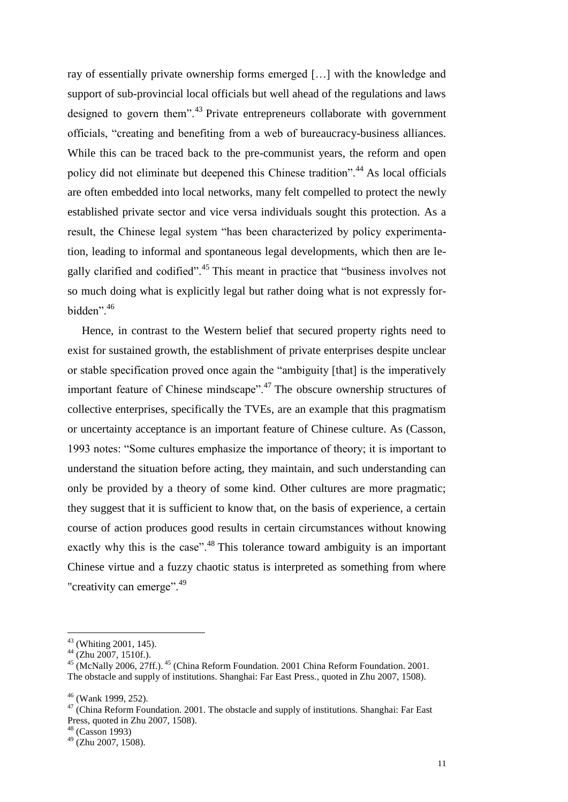ray of essentially private ownership forms emerged […] with the knowledge and support of sub-provincial local officials but well ahead of the regulations and laws designed to govern them".<sup>43</sup> Private entrepreneurs collaborate with government officials, "creating and benefiting from a web of bureaucracy-business alliances. While this can be traced back to the pre-communist years, the reform and open policy did not eliminate but deepened this Chinese tradition".<sup>44</sup> As local officials are often embedded into local networks, many felt compelled to protect the newly established private sector and vice versa individuals sought this protection. As a result, the Chinese legal system "has been characterized by policy experimentation, leading to informal and spontaneous legal developments, which then are legally clarified and codified".<sup>45</sup> This meant in practice that "business involves not so much doing what is explicitly legal but rather doing what is not expressly forbidden"<sup>, 46</sup>

 Hence, in contrast to the Western belief that secured property rights need to exist for sustained growth, the establishment of private enterprises despite unclear or stable specification proved once again the "ambiguity [that] is the imperatively important feature of Chinese mindscape".<sup>47</sup> The obscure ownership structures of collective enterprises, specifically the TVEs, are an example that this pragmatism or uncertainty acceptance is an important feature of Chinese culture. As (Casson, 1993 notes: "Some cultures emphasize the importance of theory; it is important to understand the situation before acting, they maintain, and such understanding can only be provided by a theory of some kind. Other cultures are more pragmatic; they suggest that it is sufficient to know that, on the basis of experience, a certain course of action produces good results in certain circumstances without knowing exactly why this is the case".<sup>48</sup> This tolerance toward ambiguity is an important Chinese virtue and a fuzzy chaotic status is interpreted as something from where "creativity can emerge".<sup>49</sup>

 $43$  (Whiting 2001, 145).

 $44$  (Zhu 2007, 1510f.).

<sup>&</sup>lt;sup>45</sup> (McNally 2006, 27ff.). <sup>45</sup> (China Reform Foundation. 2001 China Reform Foundation. 2001. The obstacle and supply of institutions. Shanghai: Far East Press., quoted in Zhu 2007, 1508).

 $46$  (Wank 1999, 252).

 $47$  (China Reform Foundation. 2001. The obstacle and supply of institutions. Shanghai: Far East Press, quoted in Zhu 2007, 1508).

<sup>48</sup> (Casson 1993)

<sup>49</sup> (Zhu 2007, 1508).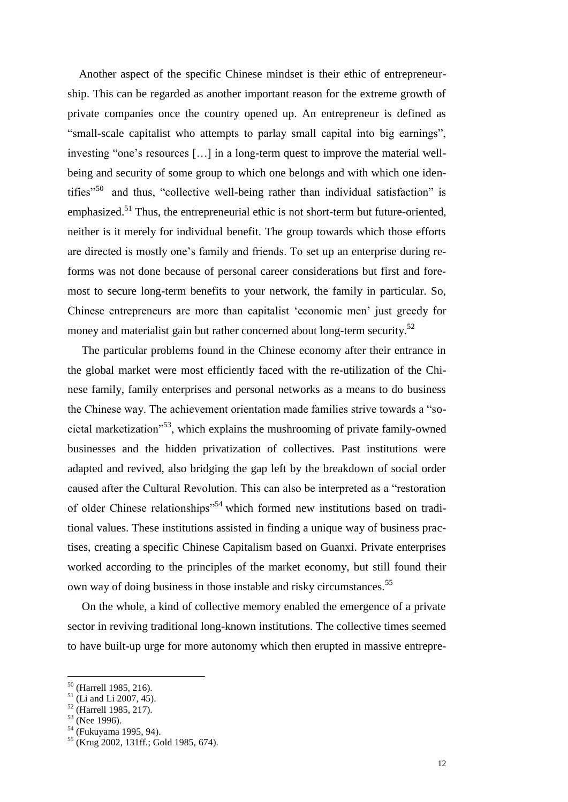Another aspect of the specific Chinese mindset is their ethic of entrepreneurship. This can be regarded as another important reason for the extreme growth of private companies once the country opened up. An entrepreneur is defined as "small-scale capitalist who attempts to parlay small capital into big earnings", investing "one's resources [...] in a long-term quest to improve the material wellbeing and security of some group to which one belongs and with which one identifies"<sup>50</sup> and thus, "collective well-being rather than individual satisfaction" is emphasized.<sup>51</sup> Thus, the entrepreneurial ethic is not short-term but future-oriented, neither is it merely for individual benefit. The group towards which those efforts are directed is mostly one"s family and friends. To set up an enterprise during reforms was not done because of personal career considerations but first and foremost to secure long-term benefits to your network, the family in particular. So, Chinese entrepreneurs are more than capitalist "economic men" just greedy for money and materialist gain but rather concerned about long-term security.<sup>52</sup>

 The particular problems found in the Chinese economy after their entrance in the global market were most efficiently faced with the re-utilization of the Chinese family, family enterprises and personal networks as a means to do business the Chinese way. The achievement orientation made families strive towards a "societal marketization"<sup>53</sup>, which explains the mushrooming of private family-owned businesses and the hidden privatization of collectives. Past institutions were adapted and revived, also bridging the gap left by the breakdown of social order caused after the Cultural Revolution. This can also be interpreted as a "restoration of older Chinese relationships"<sup>54</sup> which formed new institutions based on traditional values. These institutions assisted in finding a unique way of business practises, creating a specific Chinese Capitalism based on Guanxi. Private enterprises worked according to the principles of the market economy, but still found their own way of doing business in those instable and risky circumstances.<sup>55</sup>

 On the whole, a kind of collective memory enabled the emergence of a private sector in reviving traditional long-known institutions. The collective times seemed to have built-up urge for more autonomy which then erupted in massive entrepre-

<sup>50</sup> (Harrell 1985, 216).

 $51$  (Li and Li 2007, 45).

<sup>&</sup>lt;sup>52</sup> (Harrell 1985, 217).

 $53$  (Nee 1996).

<sup>54</sup> (Fukuyama 1995, 94).

<sup>55</sup> (Krug 2002, 131ff.; Gold 1985, 674).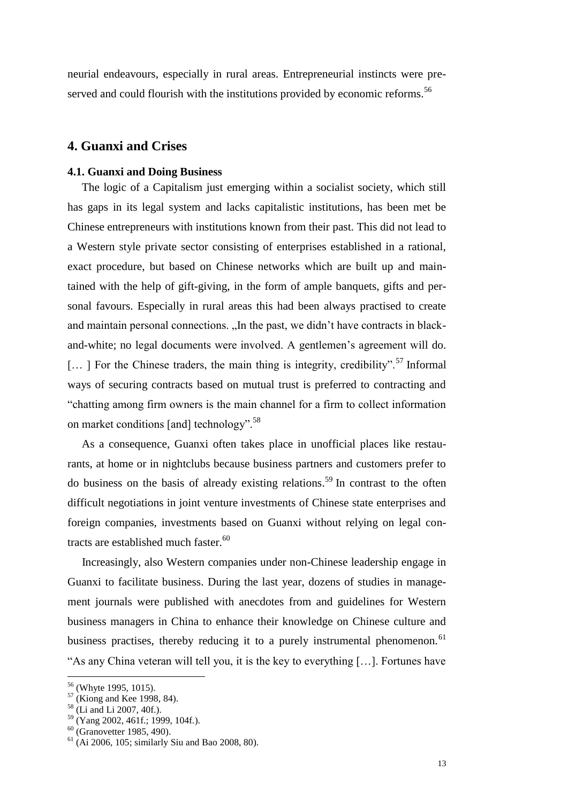neurial endeavours, especially in rural areas. Entrepreneurial instincts were preserved and could flourish with the institutions provided by economic reforms.<sup>56</sup>

## <span id="page-12-0"></span>**4. Guanxi and Crises**

#### <span id="page-12-1"></span>**4.1. Guanxi and Doing Business**

 The logic of a Capitalism just emerging within a socialist society, which still has gaps in its legal system and lacks capitalistic institutions, has been met be Chinese entrepreneurs with institutions known from their past. This did not lead to a Western style private sector consisting of enterprises established in a rational, exact procedure, but based on Chinese networks which are built up and maintained with the help of gift-giving, in the form of ample banquets, gifts and personal favours. Especially in rural areas this had been always practised to create and maintain personal connections. "In the past, we didn't have contracts in blackand-white; no legal documents were involved. A gentlemen"s agreement will do. [...] For the Chinese traders, the main thing is integrity, credibility".<sup>57</sup> Informal ways of securing contracts based on mutual trust is preferred to contracting and "chatting among firm owners is the main channel for a firm to collect information on market conditions [and] technology".<sup>58</sup>

 As a consequence, Guanxi often takes place in unofficial places like restaurants, at home or in nightclubs because business partners and customers prefer to do business on the basis of already existing relations. <sup>59</sup> In contrast to the often difficult negotiations in joint venture investments of Chinese state enterprises and foreign companies, investments based on Guanxi without relying on legal contracts are established much faster.<sup>60</sup>

 Increasingly, also Western companies under non-Chinese leadership engage in Guanxi to facilitate business. During the last year, dozens of studies in management journals were published with anecdotes from and guidelines for Western business managers in China to enhance their knowledge on Chinese culture and business practises, thereby reducing it to a purely instrumental phenomenon.<sup>61</sup> "As any China veteran will tell you, it is the key to everything […]. Fortunes have

<sup>56</sup> (Whyte 1995, 1015).

<sup>57</sup> (Kiong and Kee 1998, 84).

<sup>58</sup> (Li and Li 2007, 40f.).

<sup>59</sup> (Yang 2002, 461f.; 1999, 104f.).

<sup>60</sup> (Granovetter 1985, 490).

 $61$  (Ai 2006, 105; similarly Siu and Bao 2008, 80).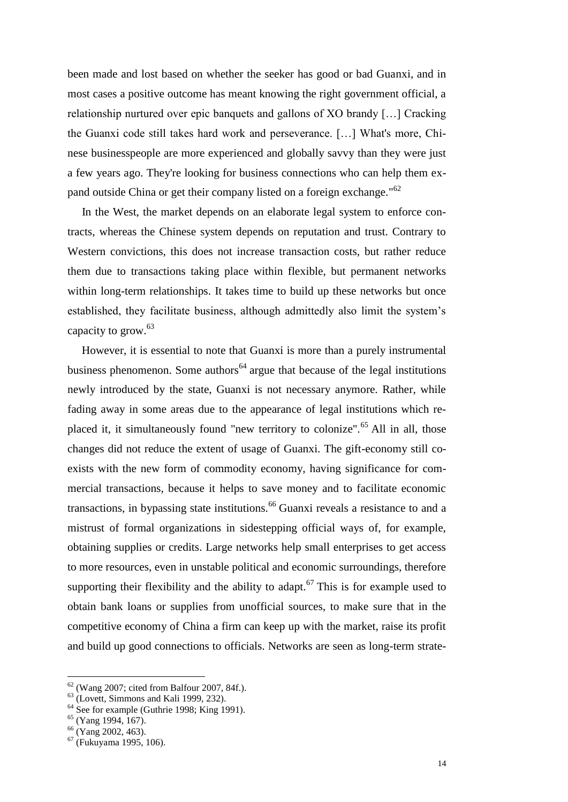been made and lost based on whether the seeker has good or bad Guanxi, and in most cases a positive outcome has meant knowing the right government official, a relationship nurtured over epic banquets and gallons of XO brandy […] Cracking the Guanxi code still takes hard work and perseverance. […] What's more, Chinese businesspeople are more experienced and globally savvy than they were just a few years ago. They're looking for business connections who can help them expand outside China or get their company listed on a foreign exchange."<sup>62</sup>

 In the West, the market depends on an elaborate legal system to enforce contracts, whereas the Chinese system depends on reputation and trust. Contrary to Western convictions, this does not increase transaction costs, but rather reduce them due to transactions taking place within flexible, but permanent networks within long-term relationships. It takes time to build up these networks but once established, they facilitate business, although admittedly also limit the system"s capacity to grow. $63$ 

 However, it is essential to note that Guanxi is more than a purely instrumental business phenomenon. Some authors<sup>64</sup> argue that because of the legal institutions newly introduced by the state, Guanxi is not necessary anymore. Rather, while fading away in some areas due to the appearance of legal institutions which replaced it, it simultaneously found "new territory to colonize".<sup>65</sup> All in all, those changes did not reduce the extent of usage of Guanxi. The gift-economy still coexists with the new form of commodity economy, having significance for commercial transactions, because it helps to save money and to facilitate economic transactions, in bypassing state institutions.<sup>66</sup> Guanxi reveals a resistance to and a mistrust of formal organizations in sidestepping official ways of, for example, obtaining supplies or credits. Large networks help small enterprises to get access to more resources, even in unstable political and economic surroundings, therefore supporting their flexibility and the ability to adapt.<sup>67</sup> This is for example used to obtain bank loans or supplies from unofficial sources, to make sure that in the competitive economy of China a firm can keep up with the market, raise its profit and build up good connections to officials. Networks are seen as long-term strate-

 $62$  (Wang 2007; cited from Balfour 2007, 84f.).

 $63$  (Lovett, Simmons and Kali 1999, 232).

<sup>&</sup>lt;sup>64</sup> See for example (Guthrie 1998; King 1991).

<sup>65</sup> (Yang 1994, 167).

<sup>&</sup>lt;sup>66</sup> (Yang 2002, 463).

<sup>67</sup> (Fukuyama 1995, 106).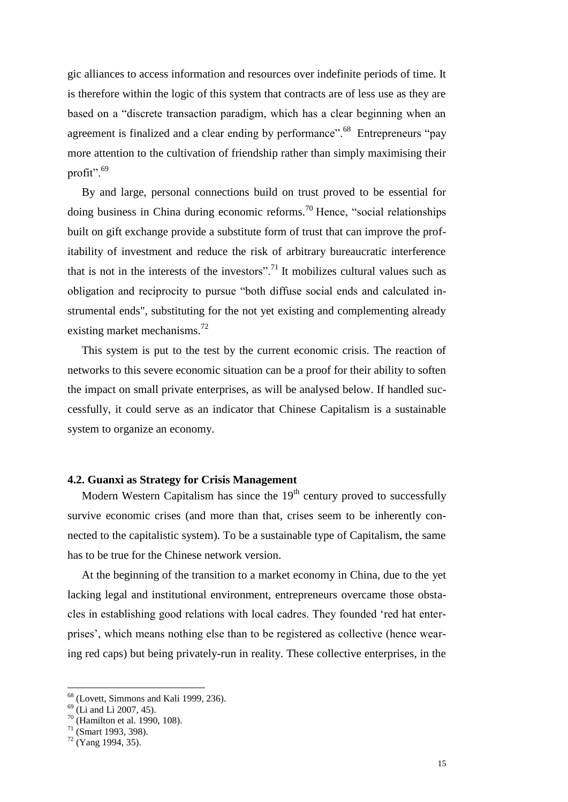gic alliances to access information and resources over indefinite periods of time. It is therefore within the logic of this system that contracts are of less use as they are based on a "discrete transaction paradigm, which has a clear beginning when an agreement is finalized and a clear ending by performance".<sup>68</sup> Entrepreneurs "pay more attention to the cultivation of friendship rather than simply maximising their profit".<sup>69</sup>

 By and large, personal connections build on trust proved to be essential for doing business in China during economic reforms.<sup>70</sup> Hence, "social relationships built on gift exchange provide a substitute form of trust that can improve the profitability of investment and reduce the risk of arbitrary bureaucratic interference that is not in the interests of the investors".<sup>71</sup> It mobilizes cultural values such as obligation and reciprocity to pursue "both diffuse social ends and calculated instrumental ends", substituting for the not yet existing and complementing already existing market mechanisms.<sup>72</sup>

 This system is put to the test by the current economic crisis. The reaction of networks to this severe economic situation can be a proof for their ability to soften the impact on small private enterprises, as will be analysed below. If handled successfully, it could serve as an indicator that Chinese Capitalism is a sustainable system to organize an economy.

## <span id="page-14-0"></span>**4.2. Guanxi as Strategy for Crisis Management**

Modern Western Capitalism has since the  $19<sup>th</sup>$  century proved to successfully survive economic crises (and more than that, crises seem to be inherently connected to the capitalistic system). To be a sustainable type of Capitalism, the same has to be true for the Chinese network version.

 At the beginning of the transition to a market economy in China, due to the yet lacking legal and institutional environment, entrepreneurs overcame those obstacles in establishing good relations with local cadres. They founded "red hat enterprises", which means nothing else than to be registered as collective (hence wearing red caps) but being privately-run in reality. These collective enterprises, in the

 $<sup>68</sup>$  (Lovett, Simmons and Kali 1999, 236).</sup>

 $69$  (Li and Li 2007, 45).

<sup>70</sup> (Hamilton et al. 1990, 108).

<sup>71</sup> (Smart 1993, 398).

 $72$  (Yang 1994, 35).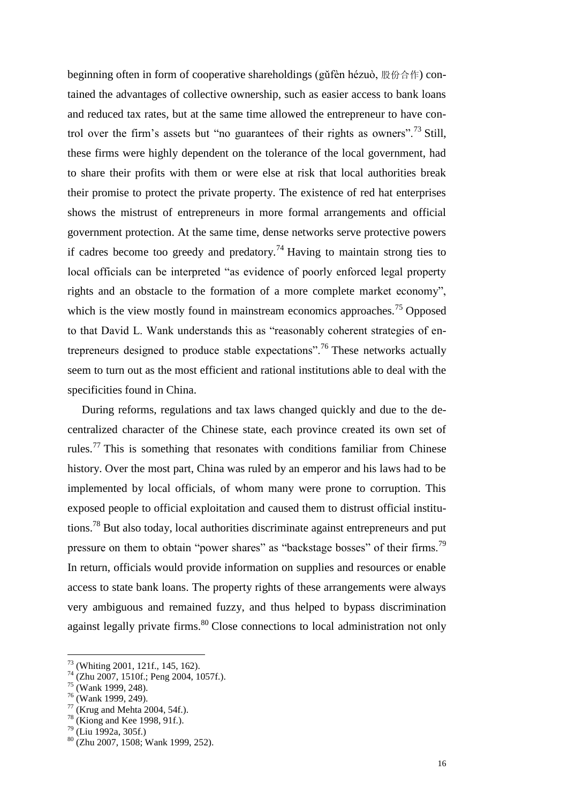beginning often in form of cooperative shareholdings (gǔfèn hézuò, 股份合作) contained the advantages of collective ownership, such as easier access to bank loans and reduced tax rates, but at the same time allowed the entrepreneur to have control over the firm's assets but "no guarantees of their rights as owners".<sup>73</sup> Still, these firms were highly dependent on the tolerance of the local government, had to share their profits with them or were else at risk that local authorities break their promise to protect the private property. The existence of red hat enterprises shows the mistrust of entrepreneurs in more formal arrangements and official government protection. At the same time, dense networks serve protective powers if cadres become too greedy and predatory.<sup>74</sup> Having to maintain strong ties to local officials can be interpreted "as evidence of poorly enforced legal property rights and an obstacle to the formation of a more complete market economy", which is the view mostly found in mainstream economics approaches.<sup>75</sup> Opposed to that David L. Wank understands this as "reasonably coherent strategies of entrepreneurs designed to produce stable expectations".<sup>76</sup> These networks actually seem to turn out as the most efficient and rational institutions able to deal with the specificities found in China.

 During reforms, regulations and tax laws changed quickly and due to the decentralized character of the Chinese state, each province created its own set of rules.<sup>77</sup> This is something that resonates with conditions familiar from Chinese history. Over the most part, China was ruled by an emperor and his laws had to be implemented by local officials, of whom many were prone to corruption. This exposed people to official exploitation and caused them to distrust official institutions.<sup>78</sup> But also today, local authorities discriminate against entrepreneurs and put pressure on them to obtain "power shares" as "backstage bosses" of their firms.<sup>79</sup> In return, officials would provide information on supplies and resources or enable access to state bank loans. The property rights of these arrangements were always very ambiguous and remained fuzzy, and thus helped to bypass discrimination against legally private firms.<sup>80</sup> Close connections to local administration not only

<sup>73</sup> (Whiting 2001, 121f., 145, 162).

<sup>74</sup> (Zhu 2007, 1510f.; Peng 2004, 1057f.).

 $75$  (Wank 1999, 248).

<sup>76</sup> (Wank 1999, 249).

 $77$  (Krug and Mehta 2004, 54f.).

 $78$  (Kiong and Kee 1998, 91f.).

<sup>79</sup> (Liu 1992a, 305f.)

<sup>80</sup> (Zhu 2007, 1508; Wank 1999, 252).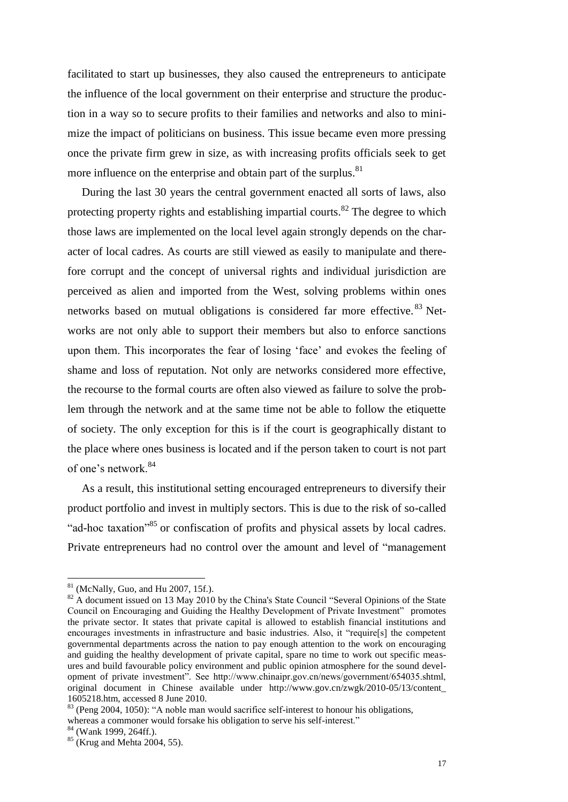facilitated to start up businesses, they also caused the entrepreneurs to anticipate the influence of the local government on their enterprise and structure the production in a way so to secure profits to their families and networks and also to minimize the impact of politicians on business. This issue became even more pressing once the private firm grew in size, as with increasing profits officials seek to get more influence on the enterprise and obtain part of the surplus.<sup>81</sup>

 During the last 30 years the central government enacted all sorts of laws, also protecting property rights and establishing impartial courts. $82$  The degree to which those laws are implemented on the local level again strongly depends on the character of local cadres. As courts are still viewed as easily to manipulate and therefore corrupt and the concept of universal rights and individual jurisdiction are perceived as alien and imported from the West, solving problems within ones networks based on mutual obligations is considered far more effective.<sup>83</sup> Networks are not only able to support their members but also to enforce sanctions upon them. This incorporates the fear of losing "face" and evokes the feeling of shame and loss of reputation. Not only are networks considered more effective, the recourse to the formal courts are often also viewed as failure to solve the problem through the network and at the same time not be able to follow the etiquette of society. The only exception for this is if the court is geographically distant to the place where ones business is located and if the person taken to court is not part of one"s network.<sup>84</sup>

 As a result, this institutional setting encouraged entrepreneurs to diversify their product portfolio and invest in multiply sectors. This is due to the risk of so-called "ad-hoc taxation"<sup>85</sup> or confiscation of profits and physical assets by local cadres. Private entrepreneurs had no control over the amount and level of "management

 $81$  (McNally, Guo, and Hu 2007, 15f.).

 $82$  A document issued on 13 May 2010 by the China's State Council "Several Opinions of the State Council on Encouraging and Guiding the Healthy Development of Private Investment" promotes the private sector. It states that private capital is allowed to establish financial institutions and encourages investments in infrastructure and basic industries. Also, it "require[s] the competent governmental departments across the nation to pay enough attention to the work on encouraging and guiding the healthy development of private capital, spare no time to work out specific measures and build favourable policy environment and public opinion atmosphere for the sound development of private investment". See http://www.chinaipr.gov.cn/news/government/654035.shtml, original document in Chinese available under http://www.gov.cn/zwgk/2010-05/13/content\_ 1605218.htm, accessed 8 June 2010.

<sup>&</sup>lt;sup>83</sup> (Peng 2004, 1050): "A noble man would sacrifice self-interest to honour his obligations, whereas a commoner would forsake his obligation to serve his self-interest."

<sup>84</sup> (Wank 1999, 264ff.).

 $85$  (Krug and Mehta 2004, 55).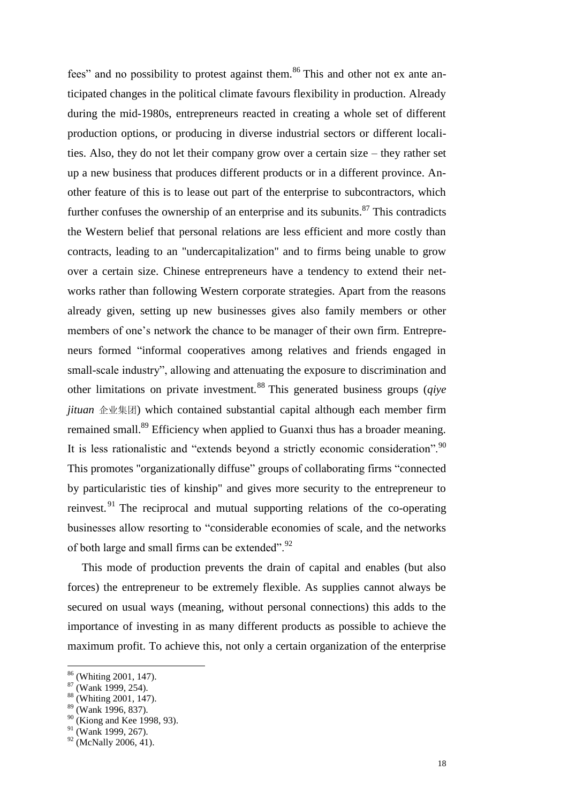fees" and no possibility to protest against them.<sup>86</sup> This and other not ex ante anticipated changes in the political climate favours flexibility in production. Already during the mid-1980s, entrepreneurs reacted in creating a whole set of different production options, or producing in diverse industrial sectors or different localities. Also, they do not let their company grow over a certain size – they rather set up a new business that produces different products or in a different province. Another feature of this is to lease out part of the enterprise to subcontractors, which further confuses the ownership of an enterprise and its subunits. $87$  This contradicts the Western belief that personal relations are less efficient and more costly than contracts, leading to an "undercapitalization" and to firms being unable to grow over a certain size. Chinese entrepreneurs have a tendency to extend their networks rather than following Western corporate strategies. Apart from the reasons already given, setting up new businesses gives also family members or other members of one"s network the chance to be manager of their own firm. Entrepreneurs formed "informal cooperatives among relatives and friends engaged in small-scale industry", allowing and attenuating the exposure to discrimination and other limitations on private investment.<sup>88</sup> This generated business groups (*qiye jituan* 企业集团) which contained substantial capital although each member firm remained small.<sup>89</sup> Efficiency when applied to Guanxi thus has a broader meaning. It is less rationalistic and "extends beyond a strictly economic consideration".<sup>90</sup> This promotes "organizationally diffuse" groups of collaborating firms "connected by particularistic ties of kinship" and gives more security to the entrepreneur to reinvest.<sup>91</sup> The reciprocal and mutual supporting relations of the co-operating businesses allow resorting to "considerable economies of scale, and the networks of both large and small firms can be extended".<sup>92</sup>

 This mode of production prevents the drain of capital and enables (but also forces) the entrepreneur to be extremely flexible. As supplies cannot always be secured on usual ways (meaning, without personal connections) this adds to the importance of investing in as many different products as possible to achieve the maximum profit. To achieve this, not only a certain organization of the enterprise

<sup>86</sup> (Whiting 2001, 147).

<sup>87 (</sup>Wank 1999, 254).

<sup>88</sup> (Whiting 2001, 147).

<sup>89</sup> (Wank 1996, 837).

 $90$  (Kiong and Kee 1998, 93).

 $91$  (Wank 1999, 267).

 $92$  (McNally 2006, 41).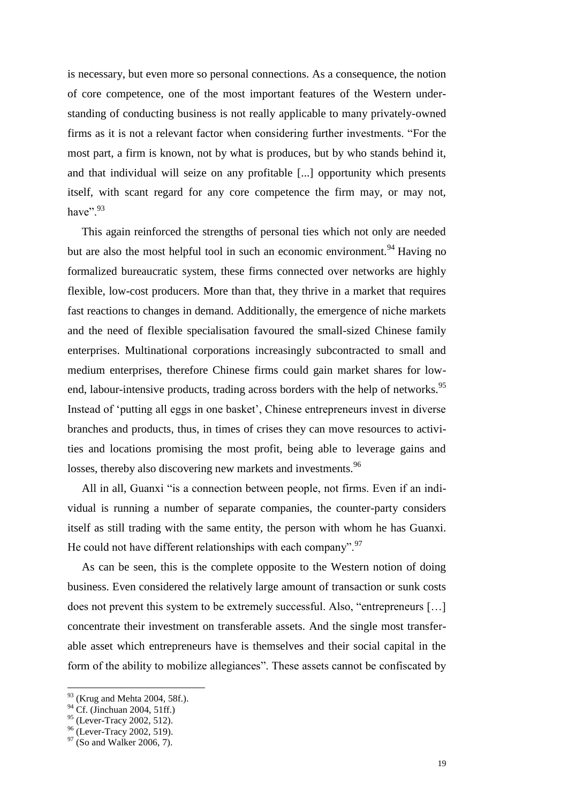is necessary, but even more so personal connections. As a consequence, the notion of core competence, one of the most important features of the Western understanding of conducting business is not really applicable to many privately-owned firms as it is not a relevant factor when considering further investments. "For the most part, a firm is known, not by what is produces, but by who stands behind it, and that individual will seize on any profitable [...] opportunity which presents itself, with scant regard for any core competence the firm may, or may not, have"<sup> $93$ </sup>

 This again reinforced the strengths of personal ties which not only are needed but are also the most helpful tool in such an economic environment.<sup>94</sup> Having no formalized bureaucratic system, these firms connected over networks are highly flexible, low-cost producers. More than that, they thrive in a market that requires fast reactions to changes in demand. Additionally, the emergence of niche markets and the need of flexible specialisation favoured the small-sized Chinese family enterprises. Multinational corporations increasingly subcontracted to small and medium enterprises, therefore Chinese firms could gain market shares for lowend, labour-intensive products, trading across borders with the help of networks.<sup>95</sup> Instead of "putting all eggs in one basket", Chinese entrepreneurs invest in diverse branches and products, thus, in times of crises they can move resources to activities and locations promising the most profit, being able to leverage gains and losses, thereby also discovering new markets and investments.<sup>96</sup>

 All in all, Guanxi "is a connection between people, not firms. Even if an individual is running a number of separate companies, the counter-party considers itself as still trading with the same entity, the person with whom he has Guanxi. He could not have different relationships with each company".<sup>97</sup>

 As can be seen, this is the complete opposite to the Western notion of doing business. Even considered the relatively large amount of transaction or sunk costs does not prevent this system to be extremely successful. Also, "entrepreneurs […] concentrate their investment on transferable assets. And the single most transferable asset which entrepreneurs have is themselves and their social capital in the form of the ability to mobilize allegiances". These assets cannot be confiscated by

 $93$  (Krug and Mehta 2004, 58f.).

 $94$  Cf. (Jinchuan 2004, 51ff.)

<sup>&</sup>lt;sup>95</sup> (Lever-Tracy 2002, 512).

<sup>&</sup>lt;sup>96</sup> (Lever-Tracy 2002, 519).

 $97$  (So and Walker 2006, 7).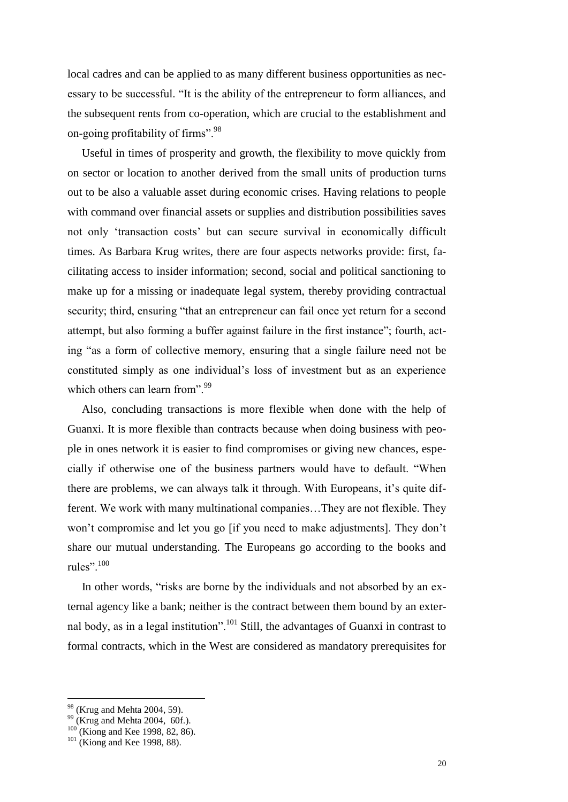local cadres and can be applied to as many different business opportunities as necessary to be successful. "It is the ability of the entrepreneur to form alliances, and the subsequent rents from co-operation, which are crucial to the establishment and on-going profitability of firms".<sup>98</sup>

 Useful in times of prosperity and growth, the flexibility to move quickly from on sector or location to another derived from the small units of production turns out to be also a valuable asset during economic crises. Having relations to people with command over financial assets or supplies and distribution possibilities saves not only "transaction costs" but can secure survival in economically difficult times. As Barbara Krug writes, there are four aspects networks provide: first, facilitating access to insider information; second, social and political sanctioning to make up for a missing or inadequate legal system, thereby providing contractual security; third, ensuring "that an entrepreneur can fail once yet return for a second attempt, but also forming a buffer against failure in the first instance"; fourth, acting "as a form of collective memory, ensuring that a single failure need not be constituted simply as one individual"s loss of investment but as an experience which others can learn from".<sup>99</sup>

 Also, concluding transactions is more flexible when done with the help of Guanxi. It is more flexible than contracts because when doing business with people in ones network it is easier to find compromises or giving new chances, especially if otherwise one of the business partners would have to default. "When there are problems, we can always talk it through. With Europeans, it's quite different. We work with many multinational companies…They are not flexible. They won't compromise and let you go [if you need to make adjustments]. They don't share our mutual understanding. The Europeans go according to the books and rules". 100

 In other words, "risks are borne by the individuals and not absorbed by an external agency like a bank; neither is the contract between them bound by an external body, as in a legal institution".<sup>101</sup> Still, the advantages of Guanxi in contrast to formal contracts, which in the West are considered as mandatory prerequisites for

<sup>98</sup> (Krug and Mehta 2004, 59).

 $99$  (Krug and Mehta 2004, 60f.).

 $^{100}$  (Kiong and Kee 1998, 82, 86).

 $^{101}$  (Kiong and Kee 1998, 88).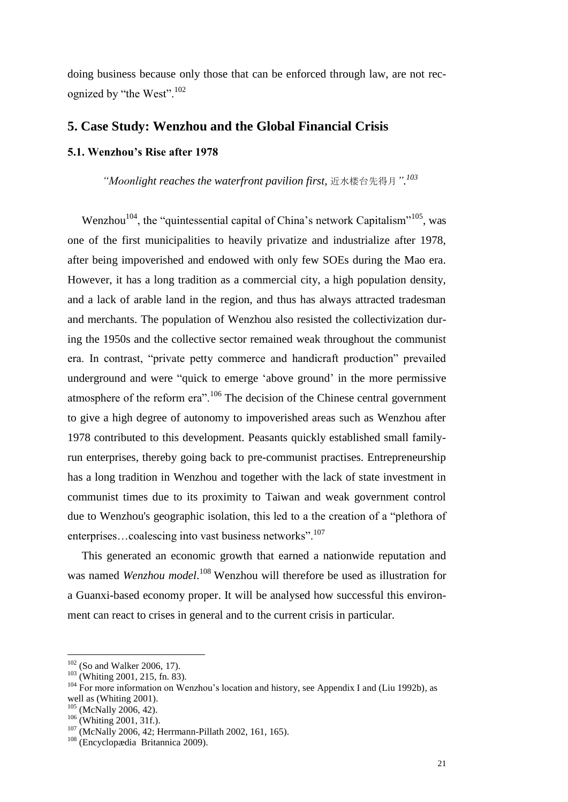doing business because only those that can be enforced through law, are not recognized by "the West".<sup>102</sup>

#### <span id="page-20-0"></span>**5. Case Study: Wenzhou and the Global Financial Crisis**

#### <span id="page-20-1"></span>**5.1. Wenzhou's Rise after 1978**

*"Moonlight reaches the waterfront pavilion first,* 近水楼台先得月*". 103*

Wenzhou<sup>104</sup>, the "quintessential capital of China's network Capitalism"<sup>105</sup>, was one of the first municipalities to heavily privatize and industrialize after 1978, after being impoverished and endowed with only few SOEs during the Mao era. However, it has a long tradition as a commercial city, a high population density, and a lack of arable land in the region, and thus has always attracted tradesman and merchants. The population of Wenzhou also resisted the collectivization during the 1950s and the collective sector remained weak throughout the communist era. In contrast, "private petty commerce and handicraft production" prevailed underground and were "quick to emerge "above ground" in the more permissive atmosphere of the reform era".<sup>106</sup> The decision of the Chinese central government to give a high degree of autonomy to impoverished areas such as Wenzhou after 1978 contributed to this development. Peasants quickly established small familyrun enterprises, thereby going back to pre-communist practises. Entrepreneurship has a long tradition in Wenzhou and together with the lack of state investment in communist times due to its proximity to Taiwan and weak government control due to Wenzhou's geographic isolation, this led to a the creation of a "plethora of enterprises...coalescing into vast business networks".<sup>107</sup>

 This generated an economic growth that earned a nationwide reputation and was named *Wenzhou model*. <sup>108</sup> Wenzhou will therefore be used as illustration for a Guanxi-based economy proper. It will be analysed how successful this environment can react to crises in general and to the current crisis in particular.

 $102$  (So and Walker 2006, 17).

<sup>&</sup>lt;sup>103</sup> (Whiting 2001, 215, fn. 83).

<sup>&</sup>lt;sup>104</sup> For more information on Wenzhou's location and history, see Appendix I and (Liu 1992b), as well as (Whiting 2001).

<sup>&</sup>lt;sup>105</sup> (McNally 2006, 42).

 $^{106}$  (Whiting 2001, 31f.).

<sup>107</sup> (McNally 2006, 42; Herrmann-Pillath 2002, 161, 165).

<sup>108</sup> (Encyclopædia Britannica 2009).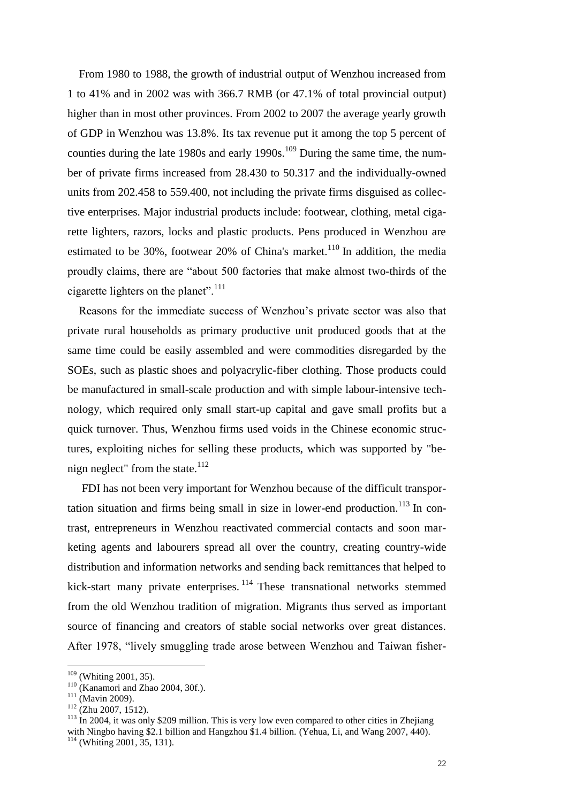From 1980 to 1988, the growth of industrial output of Wenzhou increased from 1 to 41% and in 2002 was with 366.7 RMB (or 47.1% of total provincial output) higher than in most other provinces. From 2002 to 2007 the average yearly growth of GDP in Wenzhou was 13.8%. Its tax revenue put it among the top 5 percent of counties during the late 1980s and early  $1990s$ .<sup>109</sup> During the same time, the number of private firms increased from 28.430 to 50.317 and the individually-owned units from 202.458 to 559.400, not including the private firms disguised as collective enterprises. Major industrial products include: footwear, clothing, metal cigarette lighters, razors, locks and plastic products. Pens produced in Wenzhou are estimated to be  $30\%$ , footwear  $20\%$  of China's market.<sup>110</sup> In addition, the media proudly claims, there are "about 500 factories that make almost two-thirds of the cigarette lighters on the planet".  $111$ 

Reasons for the immediate success of Wenzhou"s private sector was also that private rural households as primary productive unit produced goods that at the same time could be easily assembled and were commodities disregarded by the SOEs, such as plastic shoes and polyacrylic-fiber clothing. Those products could be manufactured in small-scale production and with simple labour-intensive technology, which required only small start-up capital and gave small profits but a quick turnover. Thus, Wenzhou firms used voids in the Chinese economic structures, exploiting niches for selling these products, which was supported by "benign neglect" from the state. $112$ 

 FDI has not been very important for Wenzhou because of the difficult transportation situation and firms being small in size in lower-end production.<sup>113</sup> In contrast, entrepreneurs in Wenzhou reactivated commercial contacts and soon marketing agents and labourers spread all over the country, creating country-wide distribution and information networks and sending back remittances that helped to kick-start many private enterprises.<sup>114</sup> These transnational networks stemmed from the old Wenzhou tradition of migration. Migrants thus served as important source of financing and creators of stable social networks over great distances. After 1978, "lively smuggling trade arose between Wenzhou and Taiwan fisher-

 $109$  (Whiting 2001, 35).

 $110$  (Kanamori and Zhao 2004, 30f.).

 $111$  (Mavin 2009).

 $^{112}$  (Zhu 2007, 1512).

<sup>&</sup>lt;sup>113</sup> In 2004, it was only \$209 million. This is very low even compared to other cities in Zhejiang with Ningbo having \$2.1 billion and Hangzhou \$1.4 billion. (Yehua, Li, and Wang 2007, 440).

<sup>114</sup> (Whiting 2001, 35, 131).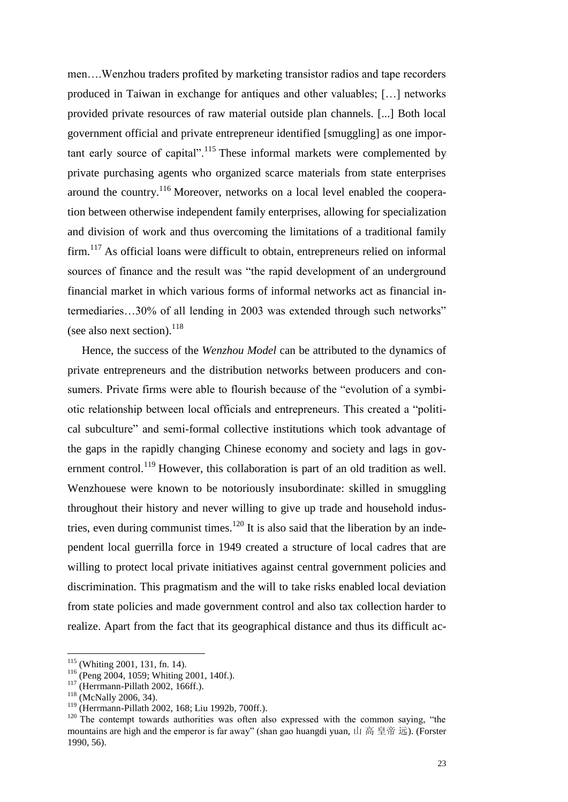men….Wenzhou traders profited by marketing transistor radios and tape recorders produced in Taiwan in exchange for antiques and other valuables; […] networks provided private resources of raw material outside plan channels. [...] Both local government official and private entrepreneur identified [smuggling] as one important early source of capital".<sup>115</sup> These informal markets were complemented by private purchasing agents who organized scarce materials from state enterprises around the country.<sup>116</sup> Moreover, networks on a local level enabled the cooperation between otherwise independent family enterprises, allowing for specialization and division of work and thus overcoming the limitations of a traditional family firm.<sup>117</sup> As official loans were difficult to obtain, entrepreneurs relied on informal sources of finance and the result was "the rapid development of an underground financial market in which various forms of informal networks act as financial intermediaries…30% of all lending in 2003 was extended through such networks" (see also next section).  $^{118}$ 

 Hence, the success of the *Wenzhou Model* can be attributed to the dynamics of private entrepreneurs and the distribution networks between producers and consumers. Private firms were able to flourish because of the "evolution of a symbiotic relationship between local officials and entrepreneurs. This created a "political subculture" and semi-formal collective institutions which took advantage of the gaps in the rapidly changing Chinese economy and society and lags in government control.<sup>119</sup> However, this collaboration is part of an old tradition as well. Wenzhouese were known to be notoriously insubordinate: skilled in smuggling throughout their history and never willing to give up trade and household industries, even during communist times.<sup>120</sup> It is also said that the liberation by an independent local guerrilla force in 1949 created a structure of local cadres that are willing to protect local private initiatives against central government policies and discrimination. This pragmatism and the will to take risks enabled local deviation from state policies and made government control and also tax collection harder to realize. Apart from the fact that its geographical distance and thus its difficult ac-

 $115$  (Whiting 2001, 131, fn. 14).

<sup>&</sup>lt;sup>116</sup> (Peng 2004, 1059; Whiting 2001, 140f.).

 $117$  (Herrmann-Pillath 2002, 166ff.).

 $118$  (McNally 2006, 34).

<sup>119</sup> (Herrmann-Pillath 2002, 168; Liu 1992b, 700ff.).

<sup>&</sup>lt;sup>120</sup> The contempt towards authorities was often also expressed with the common saying, "the mountains are high and the emperor is far away" (shan gao huangdi yuan, 山 高 皇帝 远). (Forster 1990, 56).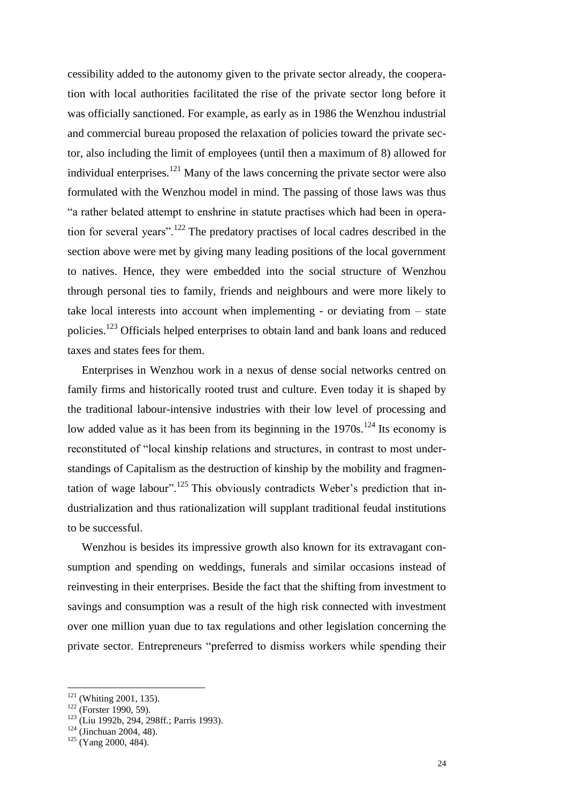cessibility added to the autonomy given to the private sector already, the cooperation with local authorities facilitated the rise of the private sector long before it was officially sanctioned. For example, as early as in 1986 the Wenzhou industrial and commercial bureau proposed the relaxation of policies toward the private sector, also including the limit of employees (until then a maximum of 8) allowed for individual enterprises.<sup>121</sup> Many of the laws concerning the private sector were also formulated with the Wenzhou model in mind. The passing of those laws was thus "a rather belated attempt to enshrine in statute practises which had been in operation for several years".<sup>122</sup> The predatory practises of local cadres described in the section above were met by giving many leading positions of the local government to natives. Hence, they were embedded into the social structure of Wenzhou through personal ties to family, friends and neighbours and were more likely to take local interests into account when implementing - or deviating from – state policies.<sup>123</sup> Officials helped enterprises to obtain land and bank loans and reduced taxes and states fees for them.

 Enterprises in Wenzhou work in a nexus of dense social networks centred on family firms and historically rooted trust and culture. Even today it is shaped by the traditional labour-intensive industries with their low level of processing and low added value as it has been from its beginning in the  $1970s$ .<sup>124</sup> Its economy is reconstituted of "local kinship relations and structures, in contrast to most understandings of Capitalism as the destruction of kinship by the mobility and fragmentation of wage labour".<sup>125</sup> This obviously contradicts Weber's prediction that industrialization and thus rationalization will supplant traditional feudal institutions to be successful.

 Wenzhou is besides its impressive growth also known for its extravagant consumption and spending on weddings, funerals and similar occasions instead of reinvesting in their enterprises. Beside the fact that the shifting from investment to savings and consumption was a result of the high risk connected with investment over one million yuan due to tax regulations and other legislation concerning the private sector. Entrepreneurs "preferred to dismiss workers while spending their

 $121$  (Whiting 2001, 135).

 $122$  (Forster 1990, 59).

<sup>123 (</sup>Liu 1992b, 294, 298ff.; Parris 1993).

 $124$  (Jinchuan 2004, 48).

 $125$  (Yang 2000, 484).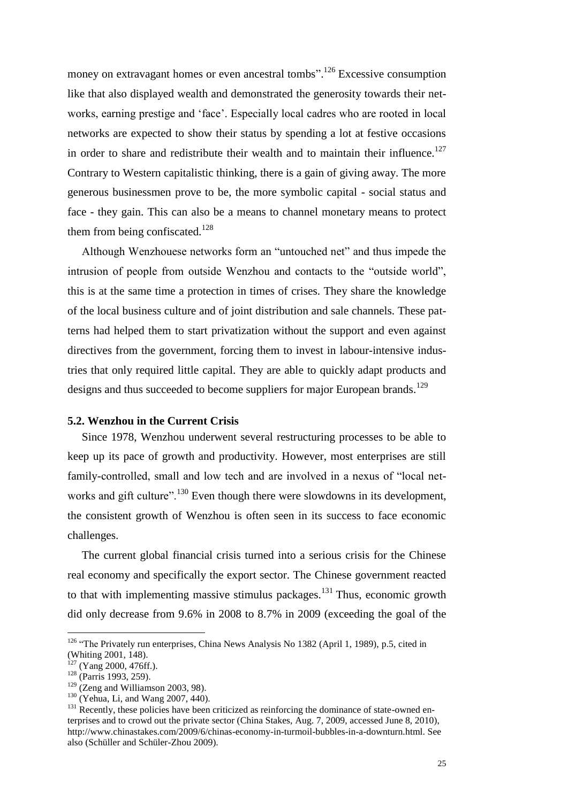money on extravagant homes or even ancestral tombs".<sup>126</sup> Excessive consumption like that also displayed wealth and demonstrated the generosity towards their networks, earning prestige and "face". Especially local cadres who are rooted in local networks are expected to show their status by spending a lot at festive occasions in order to share and redistribute their wealth and to maintain their influence.<sup>127</sup> Contrary to Western capitalistic thinking, there is a gain of giving away. The more generous businessmen prove to be, the more symbolic capital - social status and face - they gain. This can also be a means to channel monetary means to protect them from being confiscated.<sup>128</sup>

 Although Wenzhouese networks form an "untouched net" and thus impede the intrusion of people from outside Wenzhou and contacts to the "outside world", this is at the same time a protection in times of crises. They share the knowledge of the local business culture and of joint distribution and sale channels. These patterns had helped them to start privatization without the support and even against directives from the government, forcing them to invest in labour-intensive industries that only required little capital. They are able to quickly adapt products and designs and thus succeeded to become suppliers for major European brands.<sup>129</sup>

#### <span id="page-24-0"></span>**5.2. Wenzhou in the Current Crisis**

 Since 1978, Wenzhou underwent several restructuring processes to be able to keep up its pace of growth and productivity. However, most enterprises are still family-controlled, small and low tech and are involved in a nexus of "local networks and gift culture".<sup>130</sup> Even though there were slowdowns in its development, the consistent growth of Wenzhou is often seen in its success to face economic challenges.

 The current global financial crisis turned into a serious crisis for the Chinese real economy and specifically the export sector. The Chinese government reacted to that with implementing massive stimulus packages.<sup>131</sup> Thus, economic growth did only decrease from 9.6% in 2008 to 8.7% in 2009 (exceeding the goal of the

<sup>&</sup>lt;sup>126</sup> "The Privately run enterprises, China News Analysis No 1382 (April 1, 1989), p.5, cited in (Whiting 2001, 148).

 $127$  (Yang 2000, 476ff.).

 $128$  (Parris 1993, 259).

 $129$  (Zeng and Williamson 2003, 98).

 $^{130}$  (Yehua, Li, and Wang 2007, 440).

<sup>&</sup>lt;sup>131</sup> Recently, these policies have been criticized as reinforcing the dominance of state-owned enterprises and to crowd out the private sector (China Stakes, Aug. 7, 2009, accessed June 8, 2010), http://www.chinastakes.com/2009/6/chinas-economy-in-turmoil-bubbles-in-a-downturn.html. See also (Schüller and Schüler-Zhou 2009).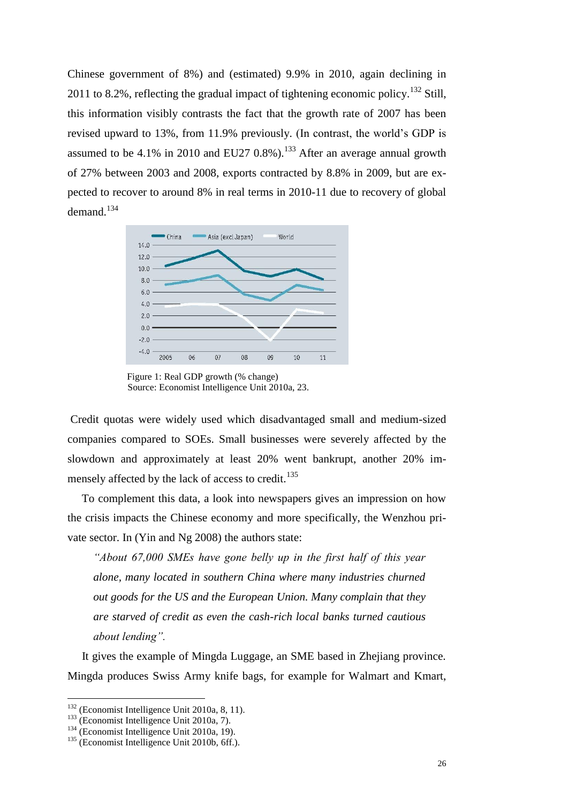Chinese government of 8%) and (estimated) 9.9% in 2010, again declining in 2011 to 8.2%, reflecting the gradual impact of tightening economic policy.<sup>132</sup> Still, this information visibly contrasts the fact that the growth rate of 2007 has been revised upward to 13%, from 11.9% previously. (In contrast, the world"s GDP is assumed to be 4.1% in 2010 and EU27  $0.8\%$ ).<sup>133</sup> After an average annual growth of 27% between 2003 and 2008, exports contracted by 8.8% in 2009, but are expected to recover to around 8% in real terms in 2010-11 due to recovery of global demand. 134



 Figure 1: Real GDP growth (% change) Source: Economist Intelligence Unit 2010a, 23.

Credit quotas were widely used which disadvantaged small and medium-sized companies compared to SOEs. Small businesses were severely affected by the slowdown and approximately at least 20% went bankrupt, another 20% immensely affected by the lack of access to credit. $135$ 

 To complement this data, a look into newspapers gives an impression on how the crisis impacts the Chinese economy and more specifically, the Wenzhou private sector. In (Yin and Ng 2008) the authors state:

*"About 67,000 SMEs have gone belly up in the first half of this year alone, many located in southern China where many industries churned out goods for the US and the European Union. Many complain that they are starved of credit as even the cash-rich local banks turned cautious about lending".*

 It gives the example of Mingda Luggage, an SME based in Zhejiang province. Mingda produces Swiss Army knife bags, for example for Walmart and Kmart,

<sup>&</sup>lt;sup>132</sup> (Economist Intelligence Unit 2010a, 8, 11).

 $133$  (Economist Intelligence Unit 2010a, 7).

<sup>&</sup>lt;sup>134</sup> (Economist Intelligence Unit 2010a, 19).

<sup>&</sup>lt;sup>135</sup> (Economist Intelligence Unit 2010b, 6ff.).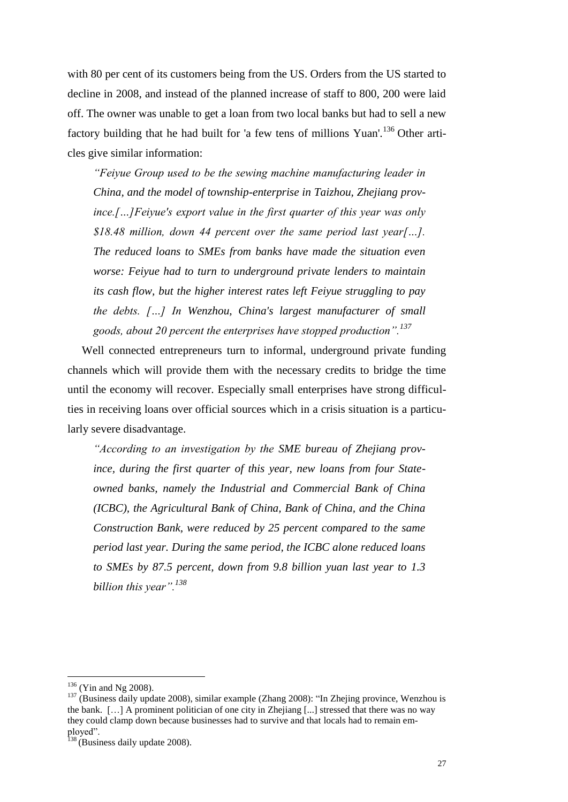with 80 per cent of its customers being from the US. Orders from the US started to decline in 2008, and instead of the planned increase of staff to 800, 200 were laid off. The owner was unable to get a loan from two local banks but had to sell a new factory building that he had built for 'a few tens of millions Yuan'.<sup>136</sup> Other articles give similar information:

*"Feiyue Group used to be the sewing machine manufacturing leader in China, and the model of township-enterprise in Taizhou, Zhejiang province.[…]Feiyue's export value in the first quarter of this year was only \$18.48 million, down 44 percent over the same period last year[…]. The reduced loans to SMEs from banks have made the situation even worse: Feiyue had to turn to underground private lenders to maintain its cash flow, but the higher interest rates left Feiyue struggling to pay the debts. […] In Wenzhou, China's largest manufacturer of small goods, about 20 percent the enterprises have stopped production".<sup>137</sup>*

 Well connected entrepreneurs turn to informal, underground private funding channels which will provide them with the necessary credits to bridge the time until the economy will recover. Especially small enterprises have strong difficulties in receiving loans over official sources which in a crisis situation is a particularly severe disadvantage.

*"According to an investigation by the SME bureau of Zhejiang province, during the first quarter of this year, new loans from four Stateowned banks, namely the Industrial and Commercial Bank of China (ICBC), the Agricultural Bank of China, Bank of China, and the China Construction Bank, were reduced by 25 percent compared to the same period last year. During the same period, the ICBC alone reduced loans to SMEs by 87.5 percent, down from 9.8 billion yuan last year to 1.3 billion this year".<sup>138</sup>*

 $136$  (Yin and Ng 2008).

<sup>&</sup>lt;sup>137</sup> (Business daily update 2008), similar example (Zhang 2008): "In Zhejing province, Wenzhou is the bank. […] A prominent politician of one city in Zhejiang [...] stressed that there was no way they could clamp down because businesses had to survive and that locals had to remain employed".

<sup>&</sup>lt;sup>138</sup> (Business daily update 2008).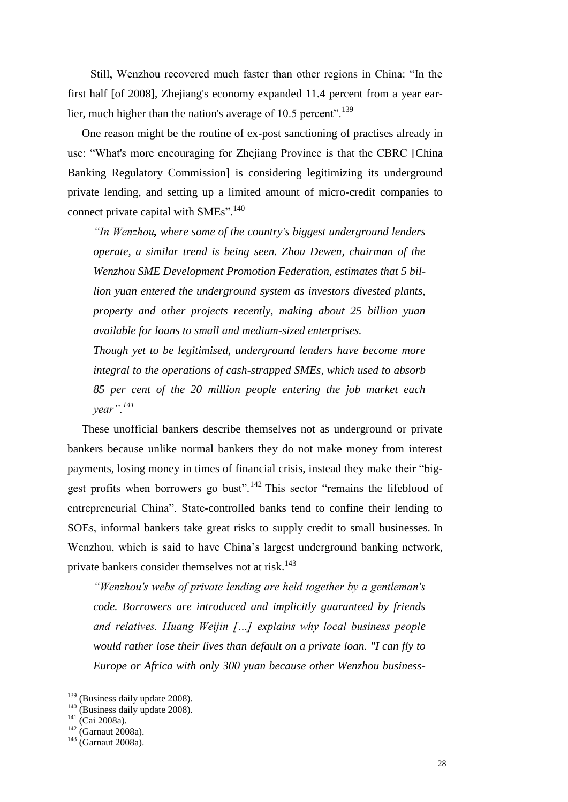Still, Wenzhou recovered much faster than other regions in China: "In the first half [of 2008], Zhejiang's economy expanded 11.4 percent from a year earlier, much higher than the nation's average of 10.5 percent".<sup>139</sup>

 One reason might be the routine of ex-post sanctioning of practises already in use: "What's more encouraging for Zhejiang Province is that the CBRC [China Banking Regulatory Commission] is considering legitimizing its underground private lending, and setting up a limited amount of micro-credit companies to connect private capital with SMEs".<sup>140</sup>

*"In Wenzhou, where some of the country's biggest underground lenders operate, a similar trend is being seen. Zhou Dewen, chairman of the Wenzhou SME Development Promotion Federation, estimates that 5 billion yuan entered the underground system as investors divested plants, property and other projects recently, making about 25 billion yuan available for loans to small and medium-sized enterprises.*

*Though yet to be legitimised, underground lenders have become more integral to the operations of cash-strapped SMEs, which used to absorb 85 per cent of the 20 million people entering the job market each year".<sup>141</sup>*

 These unofficial bankers describe themselves not as underground or private bankers because unlike normal bankers they do not make money from interest payments, losing money in times of financial crisis, instead they make their "biggest profits when borrowers go bust".<sup>142</sup> This sector "remains the lifeblood of entrepreneurial China". State-controlled banks tend to confine their lending to SOEs, informal bankers take great risks to supply credit to small businesses. In Wenzhou, which is said to have China"s largest underground banking network, private bankers consider themselves not at risk.<sup>143</sup>

*"Wenzhou's webs of private lending are held together by a gentleman's code. Borrowers are introduced and implicitly guaranteed by friends and relatives. Huang Weijin […] explains why local business people would rather lose their lives than default on a private loan. "I can fly to Europe or Africa with only 300 yuan because other Wenzhou business-*

<sup>&</sup>lt;sup>139</sup> (Business daily update 2008).

 $140$  (Business daily update 2008).

 $^{141}$  (Cai 2008a).

 $142$  (Garnaut 2008a).

<sup>143</sup> (Garnaut 2008a).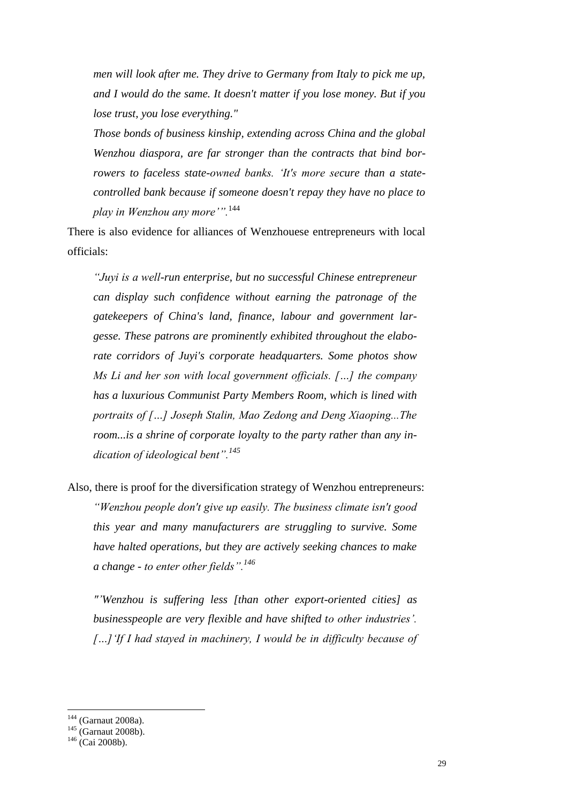*men will look after me. They drive to Germany from Italy to pick me up, and I would do the same. It doesn't matter if you lose money. But if you lose trust, you lose everything."*

*Those bonds of business kinship, extending across China and the global Wenzhou diaspora, are far stronger than the contracts that bind borrowers to faceless state-owned banks. "It's more secure than a statecontrolled bank because if someone doesn't repay they have no place to play in Wenzhou any more"".*<sup>144</sup>

There is also evidence for alliances of Wenzhouese entrepreneurs with local officials:

*"Juyi is a well-run enterprise, but no successful Chinese entrepreneur can display such confidence without earning the patronage of the gatekeepers of China's land, finance, labour and government largesse. These patrons are prominently exhibited throughout the elaborate corridors of Juyi's corporate headquarters. Some photos show Ms Li and her son with local government officials. […] the company has a luxurious Communist Party Members Room, which is lined with portraits of […] Joseph Stalin, Mao Zedong and Deng Xiaoping...The room...is a shrine of corporate loyalty to the party rather than any indication of ideological bent".<sup>145</sup>*

Also, there is proof for the diversification strategy of Wenzhou entrepreneurs: *"Wenzhou people don't give up easily. The business climate isn't good this year and many manufacturers are struggling to survive. Some have halted operations, but they are actively seeking chances to make a change - to enter other fields".<sup>146</sup>*

*""Wenzhou is suffering less [than other export-oriented cities] as*  businesspeople are very flexible and have shifted to other industries'. *[…]"If I had stayed in machinery, I would be in difficulty because of* 

<sup>&</sup>lt;sup>144</sup> (Garnaut 2008a).

<sup>&</sup>lt;sup>145</sup> (Garnaut 2008b).

<sup>146</sup> (Cai 2008b).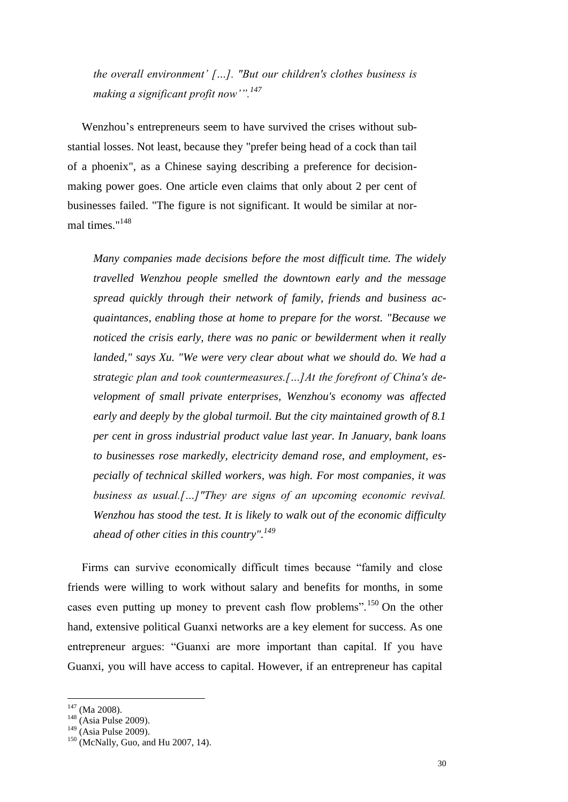*the overall environment" […]. "But our children's clothes business is making a significant profit now"".<sup>147</sup>*

 Wenzhou"s entrepreneurs seem to have survived the crises without substantial losses. Not least, because they "prefer being head of a cock than tail of a phoenix", as a Chinese saying describing a preference for decisionmaking power goes. One article even claims that only about 2 per cent of businesses failed. "The figure is not significant. It would be similar at normal times."<sup>148</sup>

*Many companies made decisions before the most difficult time. The widely travelled Wenzhou people smelled the downtown early and the message spread quickly through their network of family, friends and business acquaintances, enabling those at home to prepare for the worst. "Because we noticed the crisis early, there was no panic or bewilderment when it really landed," says Xu. "We were very clear about what we should do. We had a strategic plan and took countermeasures.[…]At the forefront of China's development of small private enterprises, Wenzhou's economy was affected early and deeply by the global turmoil. But the city maintained growth of 8.1 per cent in gross industrial product value last year. In January, bank loans to businesses rose markedly, electricity demand rose, and employment, especially of technical skilled workers, was high. For most companies, it was business as usual.[…]"They are signs of an upcoming economic revival. Wenzhou has stood the test. It is likely to walk out of the economic difficulty ahead of other cities in this country".<sup>149</sup>*

 Firms can survive economically difficult times because "family and close friends were willing to work without salary and benefits for months, in some cases even putting up money to prevent cash flow problems".<sup>150</sup> On the other hand, extensive political Guanxi networks are a key element for success. As one entrepreneur argues: "Guanxi are more important than capital. If you have Guanxi, you will have access to capital. However, if an entrepreneur has capital

<sup>147</sup> (Ma 2008).

 $148$  (Asia Pulse 2009).

 $^{149}$  (Asia Pulse 2009).

<sup>&</sup>lt;sup>150</sup> (McNally, Guo, and Hu 2007, 14).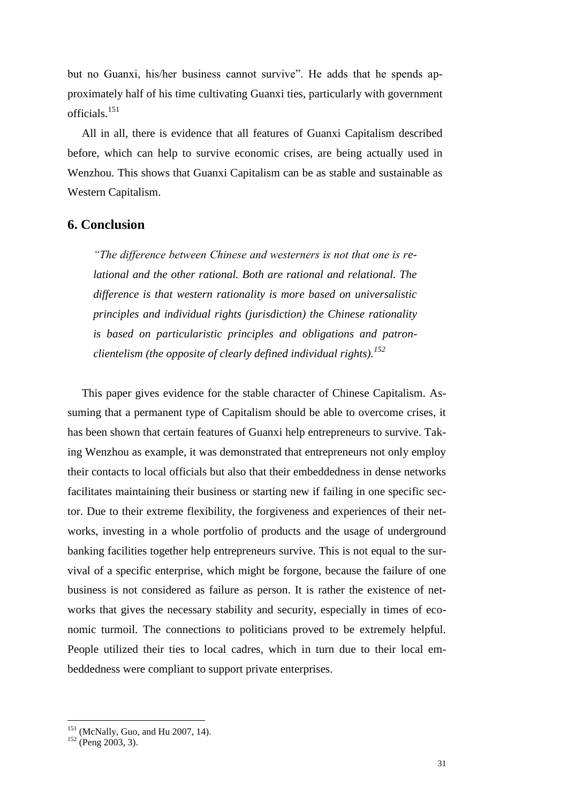but no Guanxi, his/her business cannot survive". He adds that he spends approximately half of his time cultivating Guanxi ties, particularly with government officials.<sup>151</sup>

 All in all, there is evidence that all features of Guanxi Capitalism described before, which can help to survive economic crises, are being actually used in Wenzhou. This shows that Guanxi Capitalism can be as stable and sustainable as Western Capitalism.

## <span id="page-30-0"></span>**6. Conclusion**

*"The difference between Chinese and westerners is not that one is relational and the other rational. Both are rational and relational. The difference is that western rationality is more based on universalistic principles and individual rights (jurisdiction) the Chinese rationality is based on particularistic principles and obligations and patronclientelism (the opposite of clearly defined individual rights).<sup>152</sup>*

 This paper gives evidence for the stable character of Chinese Capitalism. Assuming that a permanent type of Capitalism should be able to overcome crises, it has been shown that certain features of Guanxi help entrepreneurs to survive. Taking Wenzhou as example, it was demonstrated that entrepreneurs not only employ their contacts to local officials but also that their embeddedness in dense networks facilitates maintaining their business or starting new if failing in one specific sector. Due to their extreme flexibility, the forgiveness and experiences of their networks, investing in a whole portfolio of products and the usage of underground banking facilities together help entrepreneurs survive. This is not equal to the survival of a specific enterprise, which might be forgone, because the failure of one business is not considered as failure as person. It is rather the existence of networks that gives the necessary stability and security, especially in times of economic turmoil. The connections to politicians proved to be extremely helpful. People utilized their ties to local cadres, which in turn due to their local embeddedness were compliant to support private enterprises.

 $151$  (McNally, Guo, and Hu 2007, 14).

 $152$  (Peng 2003, 3).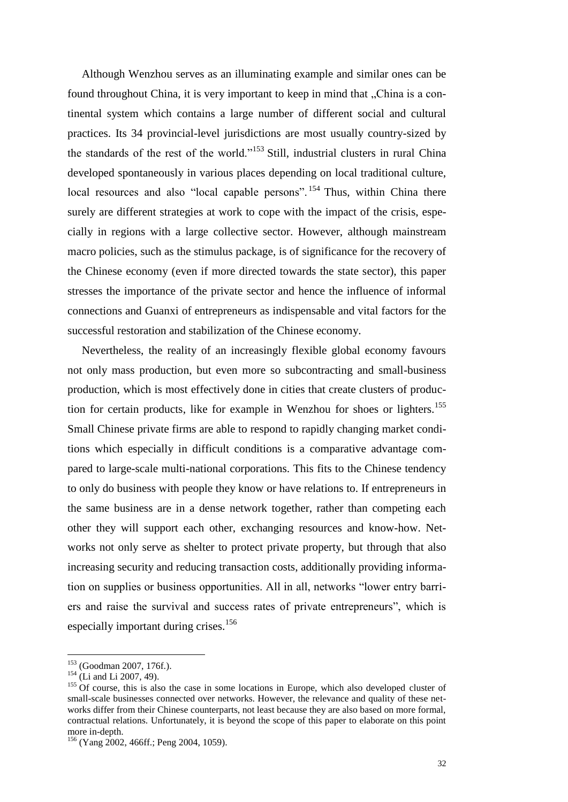Although Wenzhou serves as an illuminating example and similar ones can be found throughout China, it is very important to keep in mind that "China is a continental system which contains a large number of different social and cultural practices. Its 34 provincial-level jurisdictions are most usually country-sized by the standards of the rest of the world."<sup>153</sup> Still, industrial clusters in rural China developed spontaneously in various places depending on local traditional culture, local resources and also "local capable persons".<sup>154</sup> Thus, within China there surely are different strategies at work to cope with the impact of the crisis, especially in regions with a large collective sector. However, although mainstream macro policies, such as the stimulus package, is of significance for the recovery of the Chinese economy (even if more directed towards the state sector), this paper stresses the importance of the private sector and hence the influence of informal connections and Guanxi of entrepreneurs as indispensable and vital factors for the successful restoration and stabilization of the Chinese economy.

 Nevertheless, the reality of an increasingly flexible global economy favours not only mass production, but even more so subcontracting and small-business production, which is most effectively done in cities that create clusters of production for certain products, like for example in Wenzhou for shoes or lighters.<sup>155</sup> Small Chinese private firms are able to respond to rapidly changing market conditions which especially in difficult conditions is a comparative advantage compared to large-scale multi-national corporations. This fits to the Chinese tendency to only do business with people they know or have relations to. If entrepreneurs in the same business are in a dense network together, rather than competing each other they will support each other, exchanging resources and know-how. Networks not only serve as shelter to protect private property, but through that also increasing security and reducing transaction costs, additionally providing information on supplies or business opportunities. All in all, networks "lower entry barriers and raise the survival and success rates of private entrepreneurs", which is especially important during crises.<sup>156</sup>

<sup>153</sup> (Goodman 2007, 176f.).

 $154$  (Li and Li 2007, 49).

<sup>&</sup>lt;sup>155</sup> Of course, this is also the case in some locations in Europe, which also developed cluster of small-scale businesses connected over networks. However, the relevance and quality of these networks differ from their Chinese counterparts, not least because they are also based on more formal, contractual relations. Unfortunately, it is beyond the scope of this paper to elaborate on this point more in-depth.

<sup>156</sup> (Yang 2002, 466ff.; Peng 2004, 1059).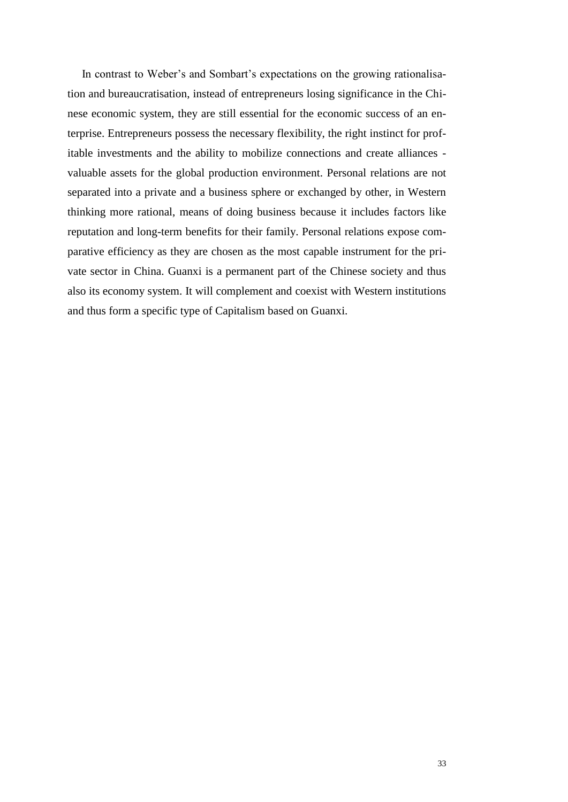In contrast to Weber's and Sombart's expectations on the growing rationalisation and bureaucratisation, instead of entrepreneurs losing significance in the Chinese economic system, they are still essential for the economic success of an enterprise. Entrepreneurs possess the necessary flexibility, the right instinct for profitable investments and the ability to mobilize connections and create alliances valuable assets for the global production environment. Personal relations are not separated into a private and a business sphere or exchanged by other, in Western thinking more rational, means of doing business because it includes factors like reputation and long-term benefits for their family. Personal relations expose comparative efficiency as they are chosen as the most capable instrument for the private sector in China. Guanxi is a permanent part of the Chinese society and thus also its economy system. It will complement and coexist with Western institutions and thus form a specific type of Capitalism based on Guanxi.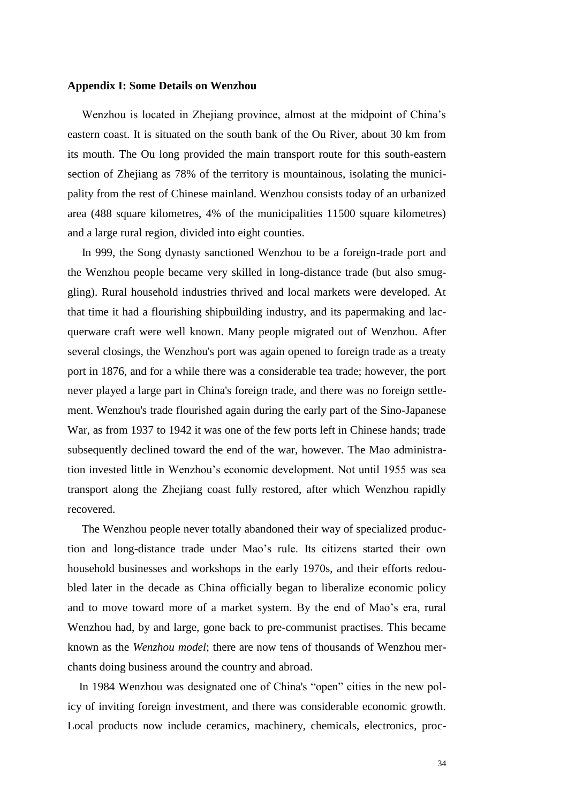#### <span id="page-33-0"></span>**Appendix I: Some Details on Wenzhou**

 Wenzhou is located in Zhejiang province, almost at the midpoint of China"s eastern coast. It is situated on the south bank of the Ou River, about 30 km from its mouth. The Ou long provided the main transport route for this south-eastern section of Zhejiang as 78% of the territory is mountainous, isolating the municipality from the rest of Chinese mainland. Wenzhou consists today of an urbanized area (488 square kilometres, 4% of the municipalities 11500 square kilometres) and a large rural region, divided into eight counties.

 In 999, the Song dynasty sanctioned Wenzhou to be a foreign-trade port and the Wenzhou people became very skilled in long-distance trade (but also smuggling). Rural household industries thrived and local markets were developed. At that time it had a flourishing shipbuilding industry, and its papermaking and lacquerware craft were well known. Many people migrated out of Wenzhou. After several closings, the Wenzhou's port was again opened to foreign trade as a treaty port in 1876, and for a while there was a considerable tea trade; however, the port never played a large part in China's foreign trade, and there was no foreign settlement. Wenzhou's trade flourished again during the early part of the Sino-Japanese War, as from 1937 to 1942 it was one of the few ports left in Chinese hands; trade subsequently declined toward the end of the war, however. The Mao administration invested little in Wenzhou"s economic development. Not until 1955 was sea transport along the Zhejiang coast fully restored, after which Wenzhou rapidly recovered.

 The Wenzhou people never totally abandoned their way of specialized production and long-distance trade under Mao"s rule. Its citizens started their own household businesses and workshops in the early 1970s, and their efforts redoubled later in the decade as China officially began to liberalize economic policy and to move toward more of a market system. By the end of Mao"s era, rural Wenzhou had, by and large, gone back to pre-communist practises. This became known as the *Wenzhou model*; there are now tens of thousands of Wenzhou merchants doing business around the country and abroad.

 In 1984 Wenzhou was designated one of China's "open" cities in the new policy of inviting foreign investment, and there was considerable economic growth. Local products now include ceramics, machinery, chemicals, electronics, proc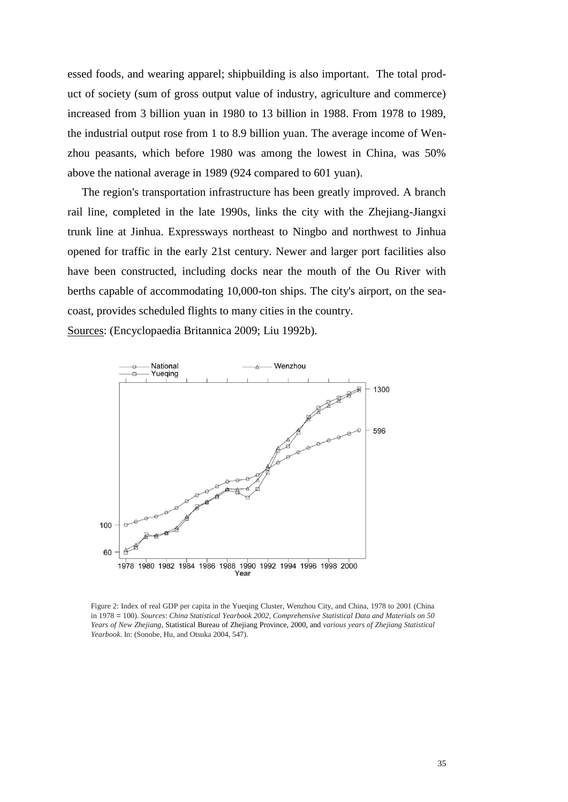essed foods, and wearing apparel; shipbuilding is also important. The total product of society (sum of gross output value of industry, agriculture and commerce) increased from 3 billion yuan in 1980 to 13 billion in 1988. From 1978 to 1989, the industrial output rose from 1 to 8.9 billion yuan. The average income of Wenzhou peasants, which before 1980 was among the lowest in China, was 50% above the national average in 1989 (924 compared to 601 yuan).

 The region's transportation infrastructure has been greatly improved. A branch rail line, completed in the late 1990s, links the city with the Zhejiang-Jiangxi trunk line at Jinhua. Expressways northeast to Ningbo and northwest to Jinhua opened for traffic in the early 21st century. Newer and larger port facilities also have been constructed, including docks near the mouth of the Ou River with berths capable of accommodating 10,000-ton ships. The city's airport, on the seacoast, provides scheduled flights to many cities in the country.

Sources: (Encyclopaedia Britannica 2009; Liu 1992b).



Figure 2: Index of real GDP per capita in the Yueqing Cluster, Wenzhou City, and China, 1978 to 2001 (China in 1978 = 100). *Sources*: *China Statistical Yearbook 2002, Comprehensive Statistical Data and Materials on 50 Years of New Zhejiang,* Statistical Bureau of Zhejiang Province, 2000, and *various years of Zhejiang Statistical Yearbook*. In: (Sonobe, Hu, and Otsuka 2004, 547).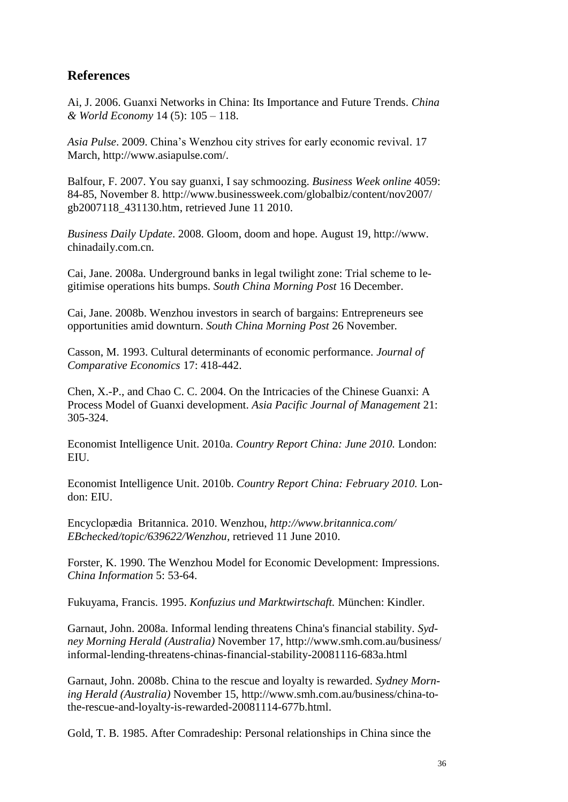## **References**

Ai, J. 2006. Guanxi Networks in China: Its Importance and Future Trends. *China & World Economy* 14 (5): 105 – 118.

*Asia Pulse*. 2009. China"s Wenzhou city strives for early economic revival. 17 March, http://www.asiapulse.com/.

Balfour, F. 2007. You say guanxi, I say schmoozing. *Business Week online* 4059: 84-85, November 8. http://www.businessweek.com/globalbiz/content/nov2007/ gb2007118\_431130.htm, retrieved June 11 2010.

*Business Daily Update*. 2008. Gloom, doom and hope. August 19, http://www. chinadaily.com.cn.

Cai, Jane. 2008a. Underground banks in legal twilight zone: Trial scheme to legitimise operations hits bumps. *South China Morning Post* 16 December.

Cai, Jane. 2008b. Wenzhou investors in search of bargains: Entrepreneurs see opportunities amid downturn. *South China Morning Post* 26 November*.*

Casson, M. 1993. Cultural determinants of economic performance. *Journal of Comparative Economics* 17: 418-442.

Chen, X.-P., and Chao C. C. 2004. On the Intricacies of the Chinese Guanxi: A Process Model of Guanxi development. *Asia Pacific Journal of Management* 21: 305-324.

Economist Intelligence Unit. 2010a. *Country Report China: June 2010.* London: EIU.

Economist Intelligence Unit. 2010b. *Country Report China: February 2010.* London: EIU.

Encyclopædia Britannica. 2010. Wenzhou, *http://www.britannica.com/ EBchecked/topic/639622/Wenzhou,* retrieved 11 June 2010.

Forster, K. 1990. The Wenzhou Model for Economic Development: Impressions. *China Information* 5: 53-64.

Fukuyama, Francis. 1995. *Konfuzius und Marktwirtschaft.* München: Kindler.

Garnaut, John. 2008a. Informal lending threatens China's financial stability. *Sydney Morning Herald (Australia)* November 17, http://www.smh.com.au/business/ informal-lending-threatens-chinas-financial-stability-20081116-683a.html

Garnaut, John. 2008b. China to the rescue and loyalty is rewarded. *Sydney Morning Herald (Australia)* November 15, http://www.smh.com.au/business/china-tothe-rescue-and-loyalty-is-rewarded-20081114-677b.html.

Gold, T. B. 1985. After Comradeship: Personal relationships in China since the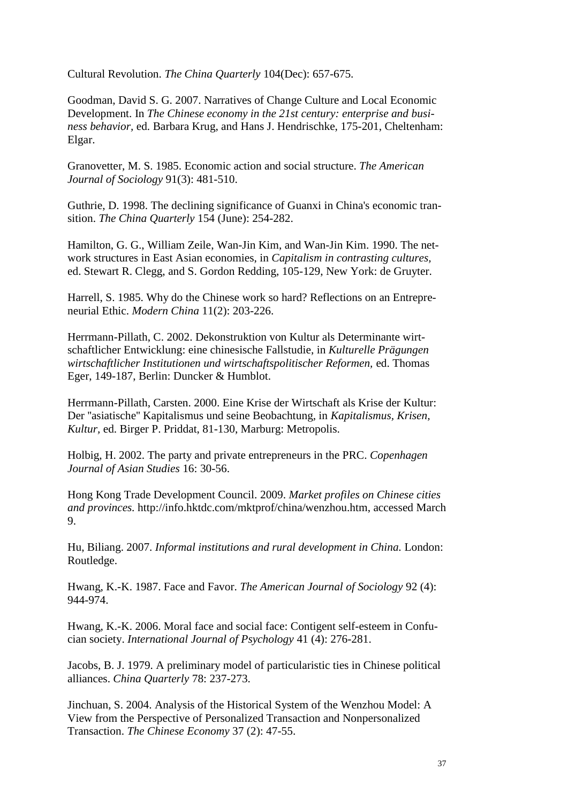Cultural Revolution. *The China Quarterly* 104(Dec): 657-675.

Goodman, David S. G. 2007. Narratives of Change Culture and Local Economic Development. In *The Chinese economy in the 21st century: enterprise and business behavior,* ed. Barbara Krug, and Hans J. Hendrischke, 175-201, Cheltenham: Elgar.

Granovetter, M. S. 1985. Economic action and social structure. *The American Journal of Sociology* 91(3): 481-510.

Guthrie, D. 1998. The declining significance of Guanxi in China's economic transition. *The China Quarterly* 154 (June): 254-282.

Hamilton, G. G., William Zeile, Wan-Jin Kim, and Wan-Jin Kim. 1990. The network structures in East Asian economies, in *Capitalism in contrasting cultures,* ed. Stewart R. Clegg, and S. Gordon Redding, 105-129, New York: de Gruyter.

Harrell, S. 1985. Why do the Chinese work so hard? Reflections on an Entrepreneurial Ethic. *Modern China* 11(2): 203-226.

Herrmann-Pillath, C. 2002. Dekonstruktion von Kultur als Determinante wirtschaftlicher Entwicklung: eine chinesische Fallstudie, in *Kulturelle Prägungen wirtschaftlicher Institutionen und wirtschaftspolitischer Reformen,* ed. Thomas Eger, 149-187, Berlin: Duncker & Humblot.

Herrmann-Pillath, Carsten. 2000. Eine Krise der Wirtschaft als Krise der Kultur: Der ''asiatische'' Kapitalismus und seine Beobachtung, in *Kapitalismus, Krisen, Kultur,* ed. Birger P. Priddat, 81-130, Marburg: Metropolis.

Holbig, H. 2002. The party and private entrepreneurs in the PRC. *Copenhagen Journal of Asian Studies* 16: 30-56.

Hong Kong Trade Development Council. 2009. *Market profiles on Chinese cities and provinces.* http://info.hktdc.com/mktprof/china/wenzhou.htm, accessed March 9.

Hu, Biliang. 2007. *Informal institutions and rural development in China.* London: Routledge.

Hwang, K.-K. 1987. Face and Favor. *The American Journal of Sociology* 92 (4): 944-974.

Hwang, K.-K. 2006. Moral face and social face: Contigent self-esteem in Confucian society. *International Journal of Psychology* 41 (4): 276-281.

Jacobs, B. J. 1979. A preliminary model of particularistic ties in Chinese political alliances. *China Quarterly* 78: 237-273.

Jinchuan, S. 2004. Analysis of the Historical System of the Wenzhou Model: A View from the Perspective of Personalized Transaction and Nonpersonalized Transaction. *The Chinese Economy* 37 (2): 47-55.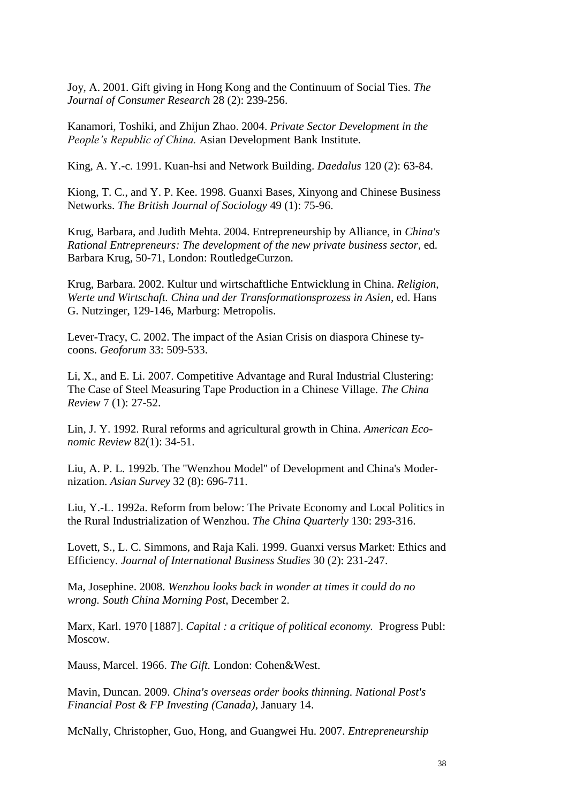Joy, A. 2001. Gift giving in Hong Kong and the Continuum of Social Ties. *The Journal of Consumer Research* 28 (2): 239-256.

Kanamori, Toshiki, and Zhijun Zhao. 2004. *Private Sector Development in the People"s Republic of China.* Asian Development Bank Institute.

King, A. Y.-c. 1991. Kuan-hsi and Network Building. *Daedalus* 120 (2): 63-84.

Kiong, T. C., and Y. P. Kee. 1998. Guanxi Bases, Xinyong and Chinese Business Networks. *The British Journal of Sociology* 49 (1): 75-96.

Krug, Barbara, and Judith Mehta. 2004. Entrepreneurship by Alliance, in *China's Rational Entrepreneurs: The development of the new private business sector,* ed. Barbara Krug, 50-71, London: RoutledgeCurzon.

Krug, Barbara. 2002. Kultur und wirtschaftliche Entwicklung in China. *Religion, Werte und Wirtschaft. China und der Transformationsprozess in Asien,* ed. Hans G. Nutzinger, 129-146, Marburg: Metropolis.

Lever-Tracy, C. 2002. The impact of the Asian Crisis on diaspora Chinese tycoons. *Geoforum* 33: 509-533.

Li, X., and E. Li. 2007. Competitive Advantage and Rural Industrial Clustering: The Case of Steel Measuring Tape Production in a Chinese Village. *The China Review* 7 (1): 27-52.

Lin, J. Y. 1992. Rural reforms and agricultural growth in China. *American Economic Review* 82(1): 34-51.

Liu, A. P. L. 1992b. The ''Wenzhou Model'' of Development and China's Modernization. *Asian Survey* 32 (8): 696-711.

Liu, Y.-L. 1992a. Reform from below: The Private Economy and Local Politics in the Rural Industrialization of Wenzhou. *The China Quarterly* 130: 293-316.

Lovett, S., L. C. Simmons, and Raja Kali. 1999. Guanxi versus Market: Ethics and Efficiency. *Journal of International Business Studies* 30 (2): 231-247.

Ma, Josephine. 2008. *Wenzhou looks back in wonder at times it could do no wrong. South China Morning Post*, December 2.

Marx, Karl. 1970 [1887]. *Capital : a critique of political economy.* Progress Publ: Moscow.

Mauss, Marcel. 1966. *The Gift.* London: Cohen&West.

Mavin, Duncan. 2009. *China's overseas order books thinning. National Post's Financial Post & FP Investing (Canada)*, January 14.

McNally, Christopher, Guo, Hong, and Guangwei Hu. 2007. *Entrepreneurship*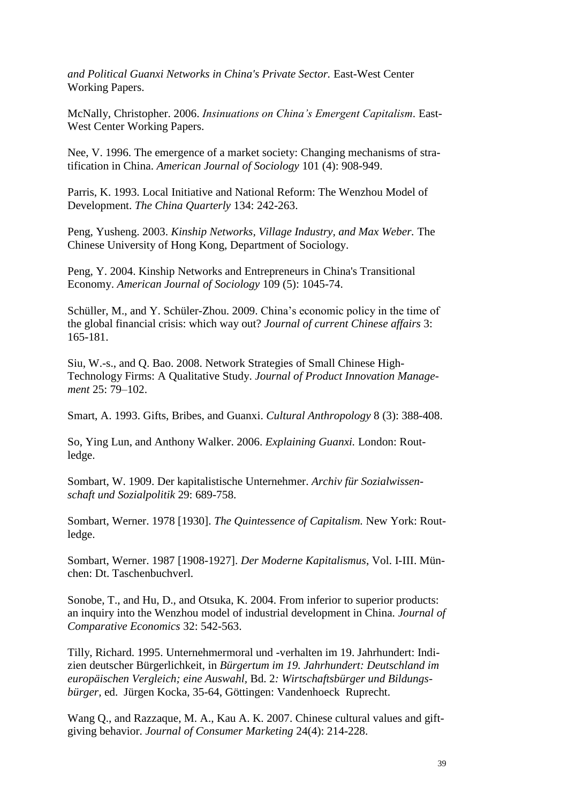*and Political Guanxi Networks in China's Private Sector.* East-West Center Working Papers.

McNally, Christopher. 2006. *Insinuations on China"s Emergent Capitalism.* East-West Center Working Papers.

Nee, V. 1996. The emergence of a market society: Changing mechanisms of stratification in China. *American Journal of Sociology* 101 (4): 908-949.

Parris, K. 1993. Local Initiative and National Reform: The Wenzhou Model of Development. *The China Quarterly* 134: 242-263.

Peng, Yusheng. 2003. *Kinship Networks, Village Industry, and Max Weber.* The Chinese University of Hong Kong, Department of Sociology.

Peng, Y. 2004. Kinship Networks and Entrepreneurs in China's Transitional Economy. *American Journal of Sociology* 109 (5): 1045-74.

Schüller, M., and Y. Schüler-Zhou. 2009. China"s economic policy in the time of the global financial crisis: which way out? *Journal of current Chinese affairs* 3: 165-181.

Siu, W.-s., and Q. Bao. 2008. Network Strategies of Small Chinese High-Technology Firms: A Qualitative Study. *Journal of Product Innovation Management* 25: 79–102.

Smart, A. 1993. Gifts, Bribes, and Guanxi. *Cultural Anthropology* 8 (3): 388-408.

So, Ying Lun, and Anthony Walker. 2006. *Explaining Guanxi.* London: Routledge.

Sombart, W. 1909. Der kapitalistische Unternehmer. *Archiv für Sozialwissenschaft und Sozialpolitik* 29: 689-758.

Sombart, Werner. 1978 [1930]. *The Quintessence of Capitalism.* New York: Routledge.

Sombart, Werner. 1987 [1908-1927]. *Der Moderne Kapitalismus*, Vol. I-III. München: Dt. Taschenbuchverl.

Sonobe, T., and Hu, D., and Otsuka, K. 2004. From inferior to superior products: an inquiry into the Wenzhou model of industrial development in China. *Journal of Comparative Economics* 32: 542-563.

Tilly, Richard. 1995. Unternehmermoral und -verhalten im 19. Jahrhundert: Indizien deutscher Bürgerlichkeit, in *Bürgertum im 19. Jahrhundert: Deutschland im europäischen Vergleich; eine Auswahl,* Bd. 2*: Wirtschaftsbürger und Bildungsbürger,* ed. Jürgen Kocka, 35-64, Göttingen: Vandenhoeck Ruprecht.

Wang Q., and Razzaque, M. A., Kau A. K. 2007. Chinese cultural values and giftgiving behavior. *Journal of Consumer Marketing* 24(4): 214-228.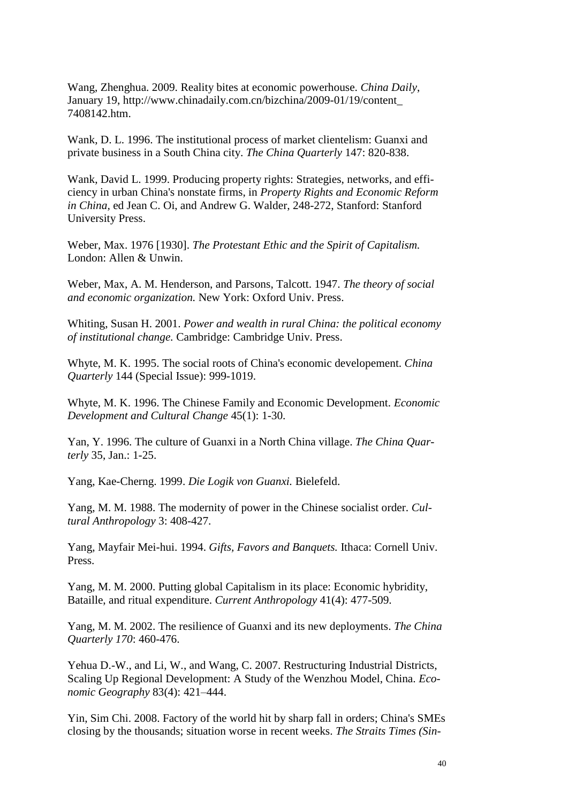Wang, Zhenghua. 2009. Reality bites at economic powerhouse. *China Daily*, January 19, http://www.chinadaily.com.cn/bizchina/2009-01/19/content\_ 7408142.htm.

Wank, D. L. 1996. The institutional process of market clientelism: Guanxi and private business in a South China city. *The China Quarterly* 147: 820-838.

Wank, David L. 1999. Producing property rights: Strategies, networks, and efficiency in urban China's nonstate firms, in *Property Rights and Economic Reform in China,* ed Jean C. Oi, and Andrew G. Walder, 248-272, Stanford: Stanford University Press.

Weber, Max. 1976 [1930]. *The Protestant Ethic and the Spirit of Capitalism.*  London: Allen & Unwin.

Weber, Max, A. M. Henderson, and Parsons, Talcott. 1947. *The theory of social and economic organization.* New York: Oxford Univ. Press.

Whiting, Susan H. 2001. *Power and wealth in rural China: the political economy of institutional change.* Cambridge: Cambridge Univ. Press.

Whyte, M. K. 1995. The social roots of China's economic developement. *China Quarterly* 144 (Special Issue): 999-1019.

Whyte, M. K. 1996. The Chinese Family and Economic Development. *Economic Development and Cultural Change* 45(1): 1-30.

Yan, Y. 1996. The culture of Guanxi in a North China village. *The China Quarterly* 35, Jan.: 1-25.

Yang, Kae-Cherng. 1999. *Die Logik von Guanxi.* Bielefeld.

Yang, M. M. 1988. The modernity of power in the Chinese socialist order. *Cultural Anthropology* 3: 408-427.

Yang, Mayfair Mei-hui. 1994. *Gifts, Favors and Banquets.* Ithaca: Cornell Univ. Press.

Yang, M. M. 2000. Putting global Capitalism in its place: Economic hybridity, Bataille, and ritual expenditure. *Current Anthropology* 41(4): 477-509.

Yang, M. M. 2002. The resilience of Guanxi and its new deployments. *The China Quarterly 170*: 460-476.

Yehua D.-W., and Li, W., and Wang, C. 2007. Restructuring Industrial Districts, Scaling Up Regional Development: A Study of the Wenzhou Model, China. *Economic Geography* 83(4): 421–444.

Yin, Sim Chi. 2008. Factory of the world hit by sharp fall in orders; China's SMEs closing by the thousands; situation worse in recent weeks. *The Straits Times (Sin-*